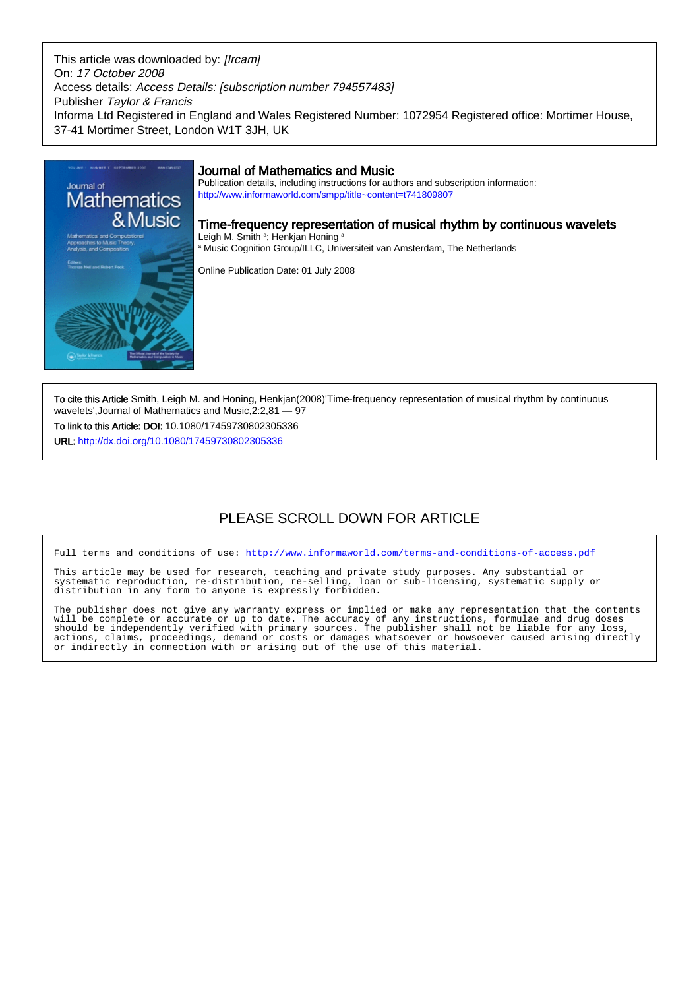This article was downloaded by: [Ircam] On: 17 October 2008 Access details: Access Details: [subscription number 794557483] Publisher Taylor & Francis Informa Ltd Registered in England and Wales Registered Number: 1072954 Registered office: Mortimer House, 37-41 Mortimer Street, London W1T 3JH, UK



To cite this Article Smith, Leigh M. and Honing, Henkjan(2008)'Time-frequency representation of musical rhythm by continuous wavelets',Journal of Mathematics and Music,2:2,81 — 97

To link to this Article: DOI: 10.1080/17459730802305336 URL: <http://dx.doi.org/10.1080/17459730802305336>

# PLEASE SCROLL DOWN FOR ARTICLE

Full terms and conditions of use:<http://www.informaworld.com/terms-and-conditions-of-access.pdf>

This article may be used for research, teaching and private study purposes. Any substantial or systematic reproduction, re-distribution, re-selling, loan or sub-licensing, systematic supply or distribution in any form to anyone is expressly forbidden.

The publisher does not give any warranty express or implied or make any representation that the contents will be complete or accurate or up to date. The accuracy of any instructions, formulae and drug doses should be independently verified with primary sources. The publisher shall not be liable for any loss, actions, claims, proceedings, demand or costs or damages whatsoever or howsoever caused arising directly or indirectly in connection with or arising out of the use of this material.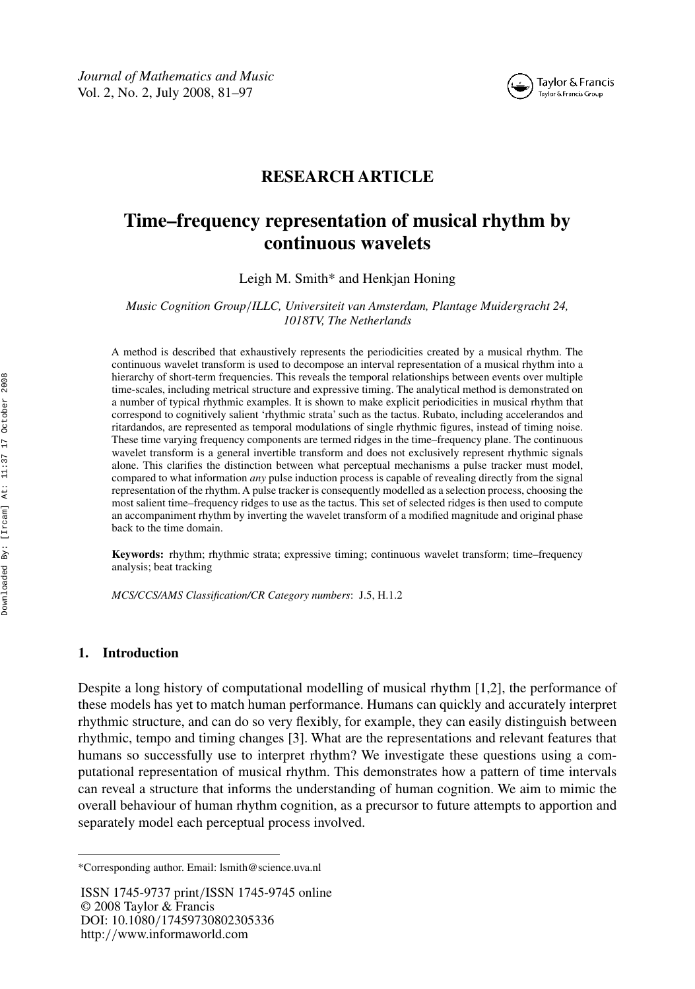*Journal of Mathematics and Music* Vol. 2, No. 2, July 2008, 81–97



#### Taylor & Francis Taylor & Francis Group

## **RESEARCH ARTICLE**

## **Time–frequency representation of musical rhythm by continuous wavelets**

Leigh M. Smith\* and Henkjan Honing

*Music Cognition Group/ILLC, Universiteit van Amsterdam, Plantage Muidergracht 24, 1018TV, The Netherlands*

A method is described that exhaustively represents the periodicities created by a musical rhythm. The continuous wavelet transform is used to decompose an interval representation of a musical rhythm into a hierarchy of short-term frequencies. This reveals the temporal relationships between events over multiple time-scales, including metrical structure and expressive timing. The analytical method is demonstrated on a number of typical rhythmic examples. It is shown to make explicit periodicities in musical rhythm that correspond to cognitively salient 'rhythmic strata' such as the tactus. Rubato, including accelerandos and ritardandos, are represented as temporal modulations of single rhythmic figures, instead of timing noise. These time varying frequency components are termed ridges in the time–frequency plane. The continuous wavelet transform is a general invertible transform and does not exclusively represent rhythmic signals alone. This clarifies the distinction between what perceptual mechanisms a pulse tracker must model, compared to what information *any* pulse induction process is capable of revealing directly from the signal representation of the rhythm. A pulse tracker is consequently modelled as a selection process, choosing the most salient time–frequency ridges to use as the tactus. This set of selected ridges is then used to compute an accompaniment rhythm by inverting the wavelet transform of a modified magnitude and original phase back to the time domain.

**Keywords:** rhythm; rhythmic strata; expressive timing; continuous wavelet transform; time–frequency analysis; beat tracking

*MCS/CCS/AMS Classification/CR Category numbers*: J.5, H.1.2

#### **1. Introduction**

Despite a long history of computational modelling of musical rhythm [1,2], the performance of these models has yet to match human performance. Humans can quickly and accurately interpret rhythmic structure, and can do so very flexibly, for example, they can easily distinguish between rhythmic, tempo and timing changes [3]. What are the representations and relevant features that humans so successfully use to interpret rhythm? We investigate these questions using a computational representation of musical rhythm. This demonstrates how a pattern of time intervals can reveal a structure that informs the understanding of human cognition. We aim to mimic the overall behaviour of human rhythm cognition, as a precursor to future attempts to apportion and separately model each perceptual process involved.

ISSN 1745-9737 print*/*ISSN 1745-9745 online © 2008 Taylor & Francis DOI: 10.1080*/*17459730802305336 http:*//*www.informaworld.com

<sup>\*</sup>Corresponding author. Email: lsmith@science.uva.nl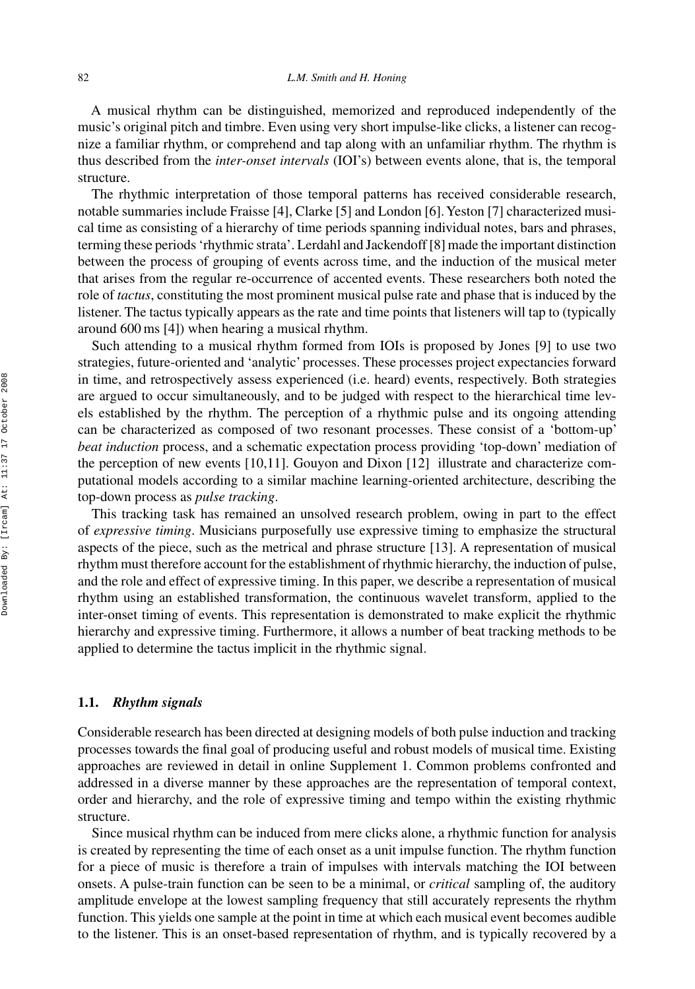A musical rhythm can be distinguished, memorized and reproduced independently of the music's original pitch and timbre. Even using very short impulse-like clicks, a listener can recognize a familiar rhythm, or comprehend and tap along with an unfamiliar rhythm. The rhythm is thus described from the *inter-onset intervals* (IOI's) between events alone, that is, the temporal structure.

The rhythmic interpretation of those temporal patterns has received considerable research, notable summaries include Fraisse [4], Clarke [5] and London [6].Yeston [7] characterized musical time as consisting of a hierarchy of time periods spanning individual notes, bars and phrases, terming these periods 'rhythmic strata'. Lerdahl and Jackendoff [8] made the important distinction between the process of grouping of events across time, and the induction of the musical meter that arises from the regular re-occurrence of accented events. These researchers both noted the role of *tactus*, constituting the most prominent musical pulse rate and phase that is induced by the listener. The tactus typically appears as the rate and time points that listeners will tap to (typically around 600 ms [4]) when hearing a musical rhythm.

Such attending to a musical rhythm formed from IOIs is proposed by Jones [9] to use two strategies, future-oriented and 'analytic' processes. These processes project expectancies forward in time, and retrospectively assess experienced (i.e. heard) events, respectively. Both strategies are argued to occur simultaneously, and to be judged with respect to the hierarchical time levels established by the rhythm. The perception of a rhythmic pulse and its ongoing attending can be characterized as composed of two resonant processes. These consist of a 'bottom-up' *beat induction* process, and a schematic expectation process providing 'top-down' mediation of the perception of new events [10,11]. Gouyon and Dixon [12] illustrate and characterize computational models according to a similar machine learning-oriented architecture, describing the top-down process as *pulse tracking*.

This tracking task has remained an unsolved research problem, owing in part to the effect of *expressive timing*. Musicians purposefully use expressive timing to emphasize the structural aspects of the piece, such as the metrical and phrase structure [13]. A representation of musical rhythm must therefore account for the establishment of rhythmic hierarchy, the induction of pulse, and the role and effect of expressive timing. In this paper, we describe a representation of musical rhythm using an established transformation, the continuous wavelet transform, applied to the inter-onset timing of events. This representation is demonstrated to make explicit the rhythmic hierarchy and expressive timing. Furthermore, it allows a number of beat tracking methods to be applied to determine the tactus implicit in the rhythmic signal.

#### **1.1.** *Rhythm signals*

Considerable research has been directed at designing models of both pulse induction and tracking processes towards the final goal of producing useful and robust models of musical time. Existing approaches are reviewed in detail in online Supplement 1. Common problems confronted and addressed in a diverse manner by these approaches are the representation of temporal context, order and hierarchy, and the role of expressive timing and tempo within the existing rhythmic structure.

Since musical rhythm can be induced from mere clicks alone, a rhythmic function for analysis is created by representing the time of each onset as a unit impulse function. The rhythm function for a piece of music is therefore a train of impulses with intervals matching the IOI between onsets. A pulse-train function can be seen to be a minimal, or *critical* sampling of, the auditory amplitude envelope at the lowest sampling frequency that still accurately represents the rhythm function. This yields one sample at the point in time at which each musical event becomes audible to the listener. This is an onset-based representation of rhythm, and is typically recovered by a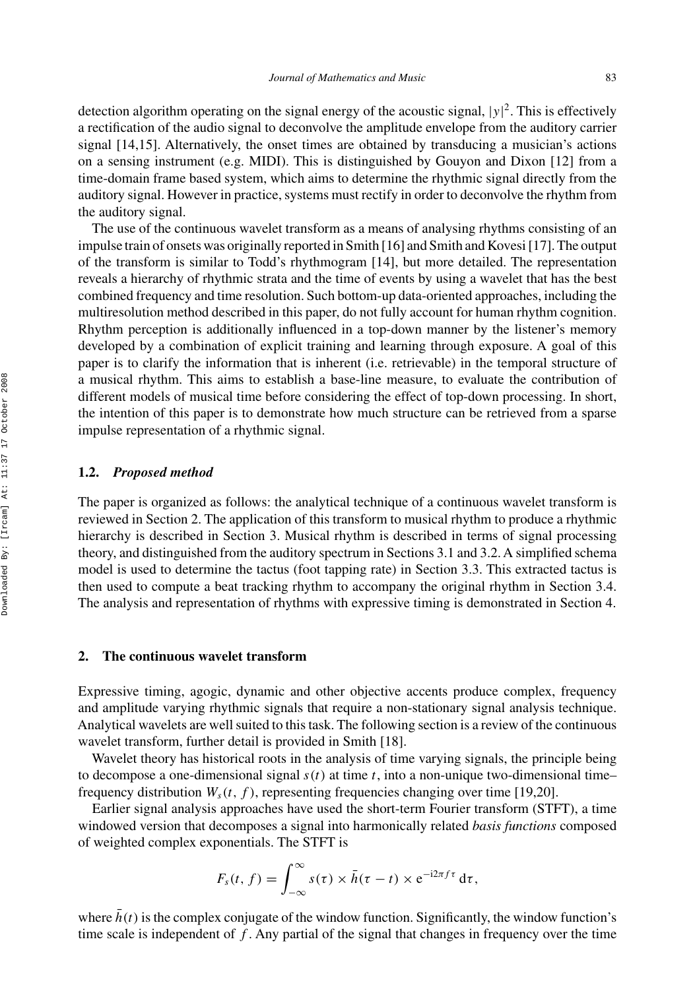detection algorithm operating on the signal energy of the acoustic signal, |*y*| 2. This is effectively a rectification of the audio signal to deconvolve the amplitude envelope from the auditory carrier signal [14,15]. Alternatively, the onset times are obtained by transducing a musician's actions on a sensing instrument (e.g. MIDI). This is distinguished by Gouyon and Dixon [12] from a time-domain frame based system, which aims to determine the rhythmic signal directly from the auditory signal. However in practice, systems must rectify in order to deconvolve the rhythm from the auditory signal.

The use of the continuous wavelet transform as a means of analysing rhythms consisting of an impulse train of onsets was originally reported in Smith [16] and Smith and Kovesi [17]. The output of the transform is similar to Todd's rhythmogram [14], but more detailed. The representation reveals a hierarchy of rhythmic strata and the time of events by using a wavelet that has the best combined frequency and time resolution. Such bottom-up data-oriented approaches, including the multiresolution method described in this paper, do not fully account for human rhythm cognition. Rhythm perception is additionally influenced in a top-down manner by the listener's memory developed by a combination of explicit training and learning through exposure. A goal of this paper is to clarify the information that is inherent (i.e. retrievable) in the temporal structure of a musical rhythm. This aims to establish a base-line measure, to evaluate the contribution of different models of musical time before considering the effect of top-down processing. In short, the intention of this paper is to demonstrate how much structure can be retrieved from a sparse impulse representation of a rhythmic signal.

#### **1.2.** *Proposed method*

The paper is organized as follows: the analytical technique of a continuous wavelet transform is reviewed in Section 2. The application of this transform to musical rhythm to produce a rhythmic hierarchy is described in Section 3. Musical rhythm is described in terms of signal processing theory, and distinguished from the auditory spectrum in Sections 3.1 and 3.2. A simplified schema model is used to determine the tactus (foot tapping rate) in Section 3.3. This extracted tactus is then used to compute a beat tracking rhythm to accompany the original rhythm in Section 3.4. The analysis and representation of rhythms with expressive timing is demonstrated in Section 4.

#### **2. The continuous wavelet transform**

Expressive timing, agogic, dynamic and other objective accents produce complex, frequency and amplitude varying rhythmic signals that require a non-stationary signal analysis technique. Analytical wavelets are well suited to this task. The following section is a review of the continuous wavelet transform, further detail is provided in Smith [18].

Wavelet theory has historical roots in the analysis of time varying signals, the principle being to decompose a one-dimensional signal  $s(t)$  at time  $t$ , into a non-unique two-dimensional time– frequency distribution  $W_s(t, f)$ , representing frequencies changing over time [19,20].

Earlier signal analysis approaches have used the short-term Fourier transform (STFT), a time windowed version that decomposes a signal into harmonically related *basis functions* composed of weighted complex exponentials. The STFT is

$$
F_s(t, f) = \int_{-\infty}^{\infty} s(\tau) \times \bar{h}(\tau - t) \times e^{-i2\pi f \tau} d\tau,
$$

where  $\bar{h}(t)$  is the complex conjugate of the window function. Significantly, the window function's time scale is independent of  $f$ . Any partial of the signal that changes in frequency over the time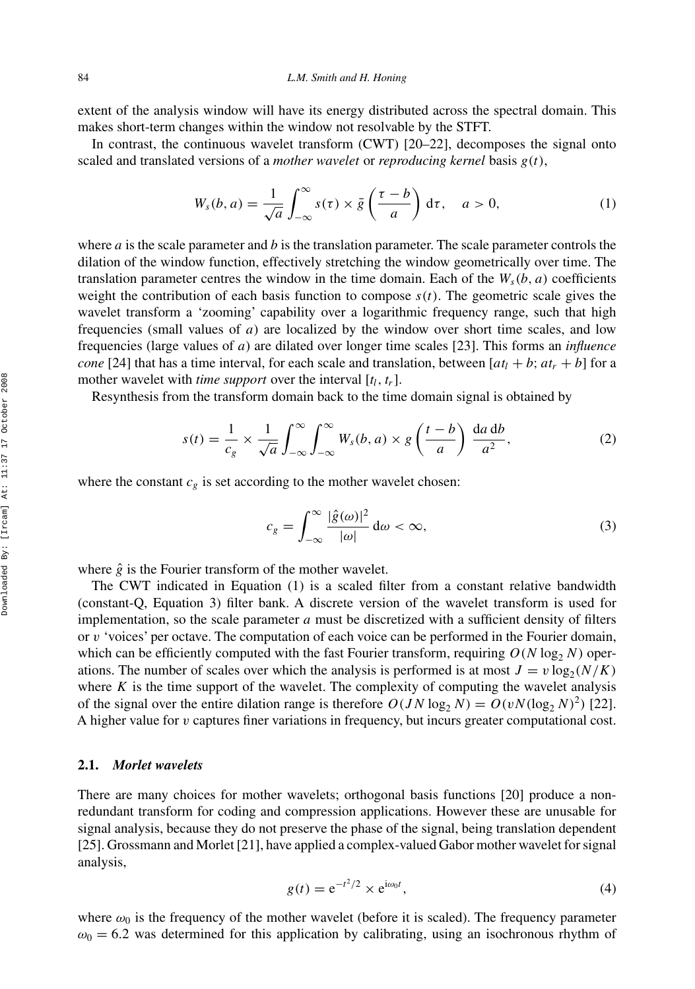extent of the analysis window will have its energy distributed across the spectral domain. This makes short-term changes within the window not resolvable by the STFT.

In contrast, the continuous wavelet transform (CWT) [20–22], decomposes the signal onto scaled and translated versions of a *mother wavelet* or *reproducing kernel* basis *g(t)*,

$$
W_s(b, a) = \frac{1}{\sqrt{a}} \int_{-\infty}^{\infty} s(\tau) \times \bar{g}\left(\frac{\tau - b}{a}\right) d\tau, \quad a > 0,
$$
 (1)

where *a* is the scale parameter and *b* is the translation parameter. The scale parameter controls the dilation of the window function, effectively stretching the window geometrically over time. The translation parameter centres the window in the time domain. Each of the  $W<sub>s</sub>(b, a)$  coefficients weight the contribution of each basis function to compose  $s(t)$ . The geometric scale gives the wavelet transform a 'zooming' capability over a logarithmic frequency range, such that high frequencies (small values of *a*) are localized by the window over short time scales, and low frequencies (large values of *a*) are dilated over longer time scales [23]. This forms an *influence cone* [24] that has a time interval, for each scale and translation, between  $(at_1 + b; at_r + b)$  for a mother wavelet with *time support* over the interval  $[t_l, t_r]$ .

Resynthesis from the transform domain back to the time domain signal is obtained by

$$
s(t) = \frac{1}{c_g} \times \frac{1}{\sqrt{a}} \int_{-\infty}^{\infty} \int_{-\infty}^{\infty} W_s(b, a) \times g\left(\frac{t-b}{a}\right) \frac{da \, db}{a^2},\tag{2}
$$

where the constant  $c_g$  is set according to the mother wavelet chosen:

$$
c_g = \int_{-\infty}^{\infty} \frac{|\hat{g}(\omega)|^2}{|\omega|} d\omega < \infty,
$$
 (3)

where  $\hat{g}$  is the Fourier transform of the mother wavelet.

The CWT indicated in Equation (1) is a scaled filter from a constant relative bandwidth (constant-Q, Equation 3) filter bank. A discrete version of the wavelet transform is used for implementation, so the scale parameter *a* must be discretized with a sufficient density of filters or *v* 'voices' per octave. The computation of each voice can be performed in the Fourier domain, which can be efficiently computed with the fast Fourier transform, requiring  $O(N \log_2 N)$  operations. The number of scales over which the analysis is performed is at most  $J = v \log_2(N/K)$ where  $K$  is the time support of the wavelet. The complexity of computing the wavelet analysis of the signal over the entire dilation range is therefore  $O(JN \log_2 N) = O(vN (\log_2 N)^2)$  [22]. A higher value for *v* captures finer variations in frequency, but incurs greater computational cost.

### **2.1.** *Morlet wavelets*

There are many choices for mother wavelets; orthogonal basis functions [20] produce a nonredundant transform for coding and compression applications. However these are unusable for signal analysis, because they do not preserve the phase of the signal, being translation dependent [25]. Grossmann and Morlet [21], have applied a complex-valued Gabor mother wavelet for signal analysis,

$$
g(t) = e^{-t^2/2} \times e^{i\omega_0 t},\tag{4}
$$

where  $\omega_0$  is the frequency of the mother wavelet (before it is scaled). The frequency parameter  $\omega_0 = 6.2$  was determined for this application by calibrating, using an isochronous rhythm of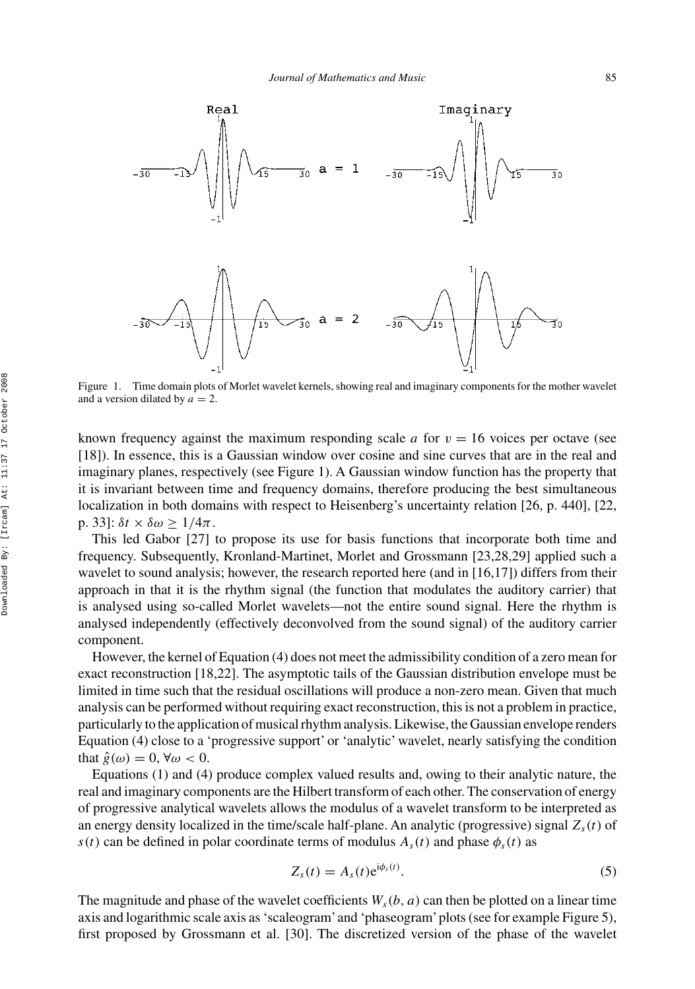

Figure 1. Time domain plots of Morlet wavelet kernels, showing real and imaginary components for the mother wavelet and a version dilated by  $a = 2$ .

known frequency against the maximum responding scale  $a$  for  $v = 16$  voices per octave (see [18]). In essence, this is a Gaussian window over cosine and sine curves that are in the real and imaginary planes, respectively (see Figure 1). A Gaussian window function has the property that it is invariant between time and frequency domains, therefore producing the best simultaneous localization in both domains with respect to Heisenberg's uncertainty relation [26, p. 440], [22, p. 33]:  $\delta t \times \delta \omega > 1/4\pi$ .

This led Gabor [27] to propose its use for basis functions that incorporate both time and frequency. Subsequently, Kronland-Martinet, Morlet and Grossmann [23,28,29] applied such a wavelet to sound analysis; however, the research reported here (and in [16,17]) differs from their approach in that it is the rhythm signal (the function that modulates the auditory carrier) that is analysed using so-called Morlet wavelets—not the entire sound signal. Here the rhythm is analysed independently (effectively deconvolved from the sound signal) of the auditory carrier component.

However, the kernel of Equation (4) does not meet the admissibility condition of a zero mean for exact reconstruction [18,22]. The asymptotic tails of the Gaussian distribution envelope must be limited in time such that the residual oscillations will produce a non-zero mean. Given that much analysis can be performed without requiring exact reconstruction, this is not a problem in practice, particularly to the application of musical rhythm analysis. Likewise, the Gaussian envelope renders Equation (4) close to a 'progressive support' or 'analytic' wavelet, nearly satisfying the condition that  $\hat{g}(\omega) = 0$ ,  $\forall \omega < 0$ .

Equations (1) and (4) produce complex valued results and, owing to their analytic nature, the real and imaginary components are the Hilbert transform of each other. The conservation of energy of progressive analytical wavelets allows the modulus of a wavelet transform to be interpreted as an energy density localized in the time/scale half-plane. An analytic (progressive) signal  $Z<sub>s</sub>(t)$  of  $s(t)$  can be defined in polar coordinate terms of modulus  $A_s(t)$  and phase  $\phi_s(t)$  as

$$
Z_s(t) = A_s(t)e^{i\phi_s(t)}.
$$
\n(5)

The magnitude and phase of the wavelet coefficients  $W_s(b, a)$  can then be plotted on a linear time axis and logarithmic scale axis as 'scaleogram'and 'phaseogram'plots (see for example Figure 5), first proposed by Grossmann et al. [30]. The discretized version of the phase of the wavelet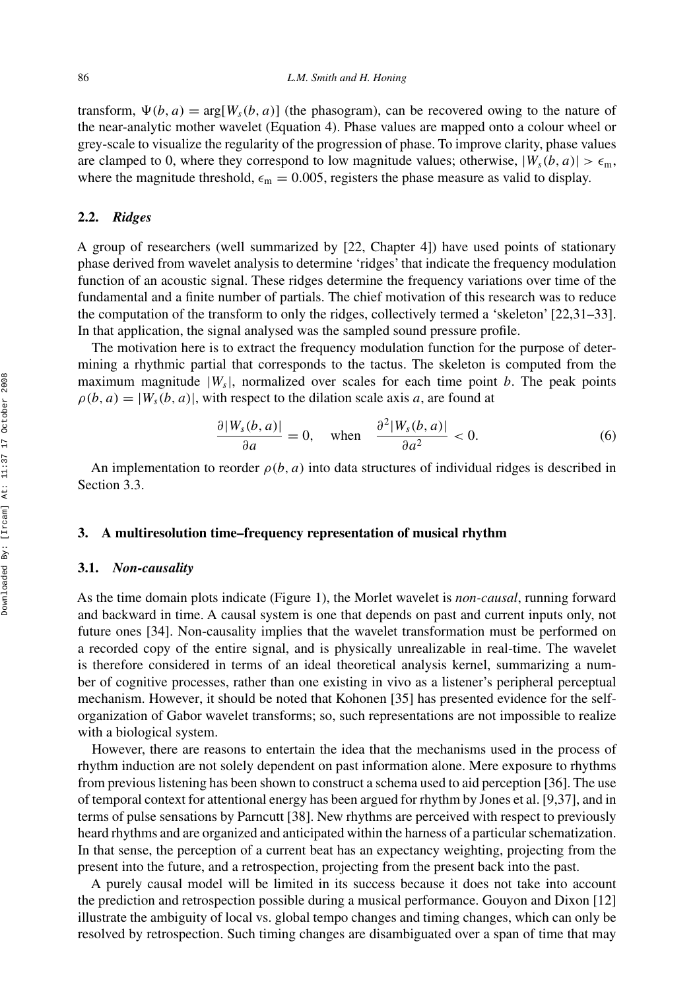transform,  $\Psi(b, a) = \arg[W_s(b, a)]$  (the phasogram), can be recovered owing to the nature of the near-analytic mother wavelet (Equation 4). Phase values are mapped onto a colour wheel or grey-scale to visualize the regularity of the progression of phase. To improve clarity, phase values are clamped to 0, where they correspond to low magnitude values; otherwise,  $|W_s(b, a)| > \epsilon_m$ , where the magnitude threshold,  $\epsilon_m = 0.005$ , registers the phase measure as valid to display.

#### **2.2.** *Ridges*

A group of researchers (well summarized by [22, Chapter 4]) have used points of stationary phase derived from wavelet analysis to determine 'ridges' that indicate the frequency modulation function of an acoustic signal. These ridges determine the frequency variations over time of the fundamental and a finite number of partials. The chief motivation of this research was to reduce the computation of the transform to only the ridges, collectively termed a 'skeleton' [22,31–33]. In that application, the signal analysed was the sampled sound pressure profile.

The motivation here is to extract the frequency modulation function for the purpose of determining a rhythmic partial that corresponds to the tactus. The skeleton is computed from the maximum magnitude  $|W_s|$ , normalized over scales for each time point *b*. The peak points  $\rho(b, a) = |W_s(b, a)|$ , with respect to the dilation scale axis *a*, are found at

$$
\frac{\partial |W_s(b,a)|}{\partial a} = 0, \quad \text{when} \quad \frac{\partial^2 |W_s(b,a)|}{\partial a^2} < 0. \tag{6}
$$

An implementation to reorder  $\rho(b, a)$  into data structures of individual ridges is described in Section 3.3.

#### **3. A multiresolution time–frequency representation of musical rhythm**

#### **3.1.** *Non-causality*

As the time domain plots indicate (Figure 1), the Morlet wavelet is *non-causal*, running forward and backward in time. A causal system is one that depends on past and current inputs only, not future ones [34]. Non-causality implies that the wavelet transformation must be performed on a recorded copy of the entire signal, and is physically unrealizable in real-time. The wavelet is therefore considered in terms of an ideal theoretical analysis kernel, summarizing a number of cognitive processes, rather than one existing in vivo as a listener's peripheral perceptual mechanism. However, it should be noted that Kohonen [35] has presented evidence for the selforganization of Gabor wavelet transforms; so, such representations are not impossible to realize with a biological system.

However, there are reasons to entertain the idea that the mechanisms used in the process of rhythm induction are not solely dependent on past information alone. Mere exposure to rhythms from previous listening has been shown to construct a schema used to aid perception [36]. The use of temporal context for attentional energy has been argued for rhythm by Jones et al. [9,37], and in terms of pulse sensations by Parncutt [38]. New rhythms are perceived with respect to previously heard rhythms and are organized and anticipated within the harness of a particular schematization. In that sense, the perception of a current beat has an expectancy weighting, projecting from the present into the future, and a retrospection, projecting from the present back into the past.

A purely causal model will be limited in its success because it does not take into account the prediction and retrospection possible during a musical performance. Gouyon and Dixon [12] illustrate the ambiguity of local vs. global tempo changes and timing changes, which can only be resolved by retrospection. Such timing changes are disambiguated over a span of time that may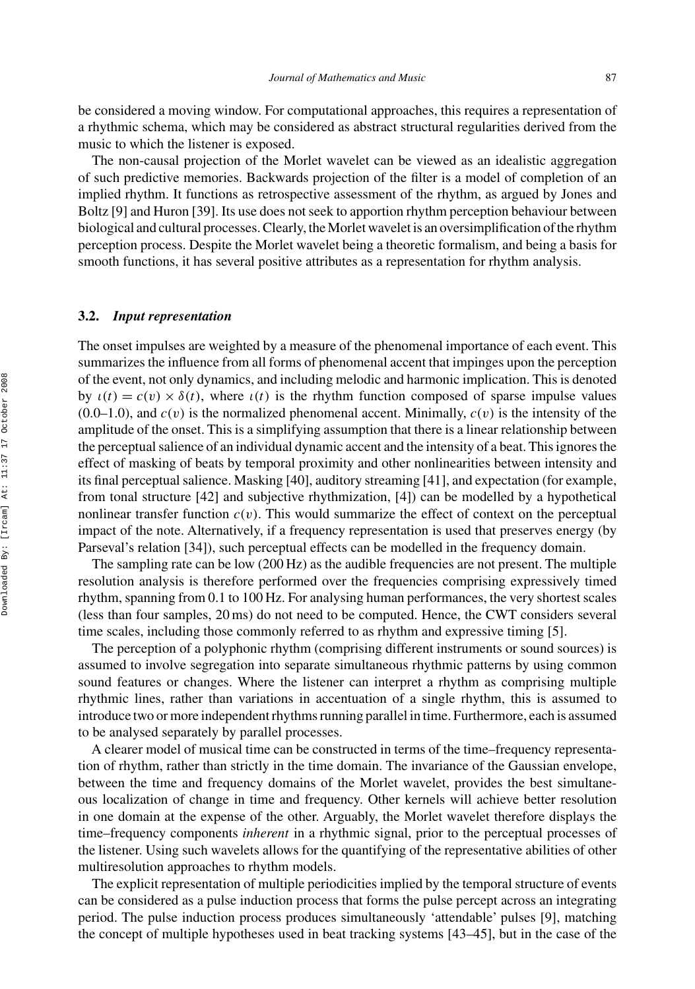be considered a moving window. For computational approaches, this requires a representation of a rhythmic schema, which may be considered as abstract structural regularities derived from the music to which the listener is exposed.

The non-causal projection of the Morlet wavelet can be viewed as an idealistic aggregation of such predictive memories. Backwards projection of the filter is a model of completion of an implied rhythm. It functions as retrospective assessment of the rhythm, as argued by Jones and Boltz [9] and Huron [39]. Its use does not seek to apportion rhythm perception behaviour between biological and cultural processes. Clearly, the Morlet wavelet is an oversimplification of the rhythm perception process. Despite the Morlet wavelet being a theoretic formalism, and being a basis for smooth functions, it has several positive attributes as a representation for rhythm analysis.

#### **3.2.** *Input representation*

The onset impulses are weighted by a measure of the phenomenal importance of each event. This summarizes the influence from all forms of phenomenal accent that impinges upon the perception of the event, not only dynamics, and including melodic and harmonic implication. This is denoted by  $\iota(t) = c(v) \times \delta(t)$ , where  $\iota(t)$  is the rhythm function composed of sparse impulse values  $(0.0-1.0)$ , and  $c(v)$  is the normalized phenomenal accent. Minimally,  $c(v)$  is the intensity of the amplitude of the onset. This is a simplifying assumption that there is a linear relationship between the perceptual salience of an individual dynamic accent and the intensity of a beat. This ignores the effect of masking of beats by temporal proximity and other nonlinearities between intensity and its final perceptual salience. Masking [40], auditory streaming [41], and expectation (for example, from tonal structure [42] and subjective rhythmization, [4]) can be modelled by a hypothetical nonlinear transfer function  $c(v)$ . This would summarize the effect of context on the perceptual impact of the note. Alternatively, if a frequency representation is used that preserves energy (by Parseval's relation [34]), such perceptual effects can be modelled in the frequency domain.

The sampling rate can be low (200 Hz) as the audible frequencies are not present. The multiple resolution analysis is therefore performed over the frequencies comprising expressively timed rhythm, spanning from 0.1 to 100 Hz. For analysing human performances, the very shortest scales (less than four samples, 20 ms) do not need to be computed. Hence, the CWT considers several time scales, including those commonly referred to as rhythm and expressive timing [5].

The perception of a polyphonic rhythm (comprising different instruments or sound sources) is assumed to involve segregation into separate simultaneous rhythmic patterns by using common sound features or changes. Where the listener can interpret a rhythm as comprising multiple rhythmic lines, rather than variations in accentuation of a single rhythm, this is assumed to introduce two or more independent rhythms running parallel in time. Furthermore, each is assumed to be analysed separately by parallel processes.

A clearer model of musical time can be constructed in terms of the time–frequency representation of rhythm, rather than strictly in the time domain. The invariance of the Gaussian envelope, between the time and frequency domains of the Morlet wavelet, provides the best simultaneous localization of change in time and frequency. Other kernels will achieve better resolution in one domain at the expense of the other. Arguably, the Morlet wavelet therefore displays the time–frequency components *inherent* in a rhythmic signal, prior to the perceptual processes of the listener. Using such wavelets allows for the quantifying of the representative abilities of other multiresolution approaches to rhythm models.

The explicit representation of multiple periodicities implied by the temporal structure of events can be considered as a pulse induction process that forms the pulse percept across an integrating period. The pulse induction process produces simultaneously 'attendable' pulses [9], matching the concept of multiple hypotheses used in beat tracking systems [43–45], but in the case of the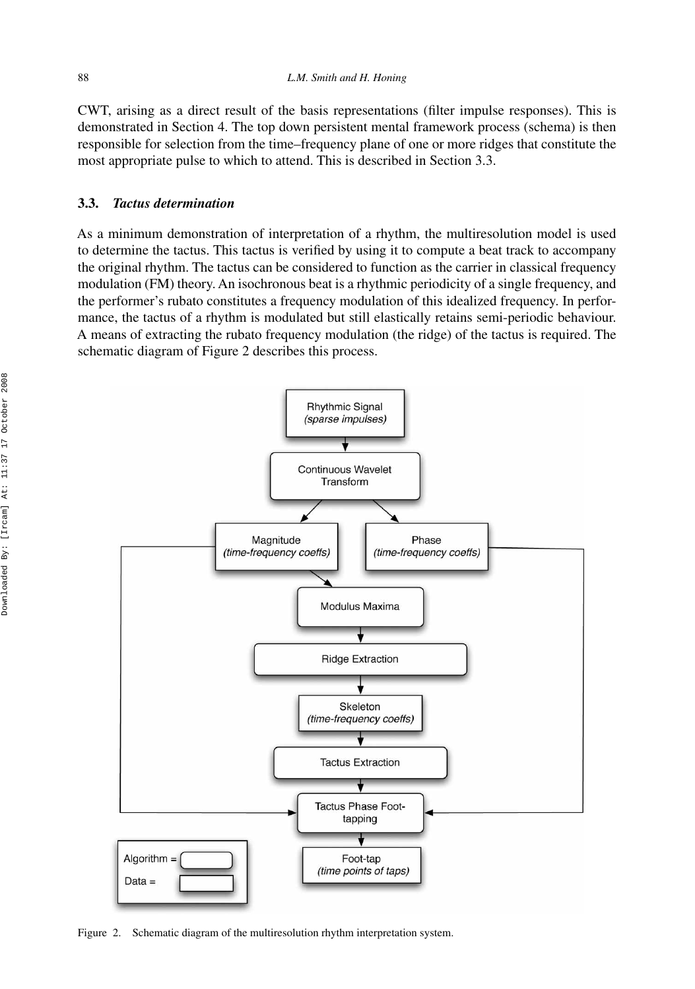CWT, arising as a direct result of the basis representations (filter impulse responses). This is demonstrated in Section 4. The top down persistent mental framework process (schema) is then responsible for selection from the time–frequency plane of one or more ridges that constitute the most appropriate pulse to which to attend. This is described in Section 3.3.

## **3.3.** *Tactus determination*

As a minimum demonstration of interpretation of a rhythm, the multiresolution model is used to determine the tactus. This tactus is verified by using it to compute a beat track to accompany the original rhythm. The tactus can be considered to function as the carrier in classical frequency modulation (FM) theory. An isochronous beat is a rhythmic periodicity of a single frequency, and the performer's rubato constitutes a frequency modulation of this idealized frequency. In performance, the tactus of a rhythm is modulated but still elastically retains semi-periodic behaviour. A means of extracting the rubato frequency modulation (the ridge) of the tactus is required. The schematic diagram of Figure 2 describes this process.



Figure 2. Schematic diagram of the multiresolution rhythm interpretation system.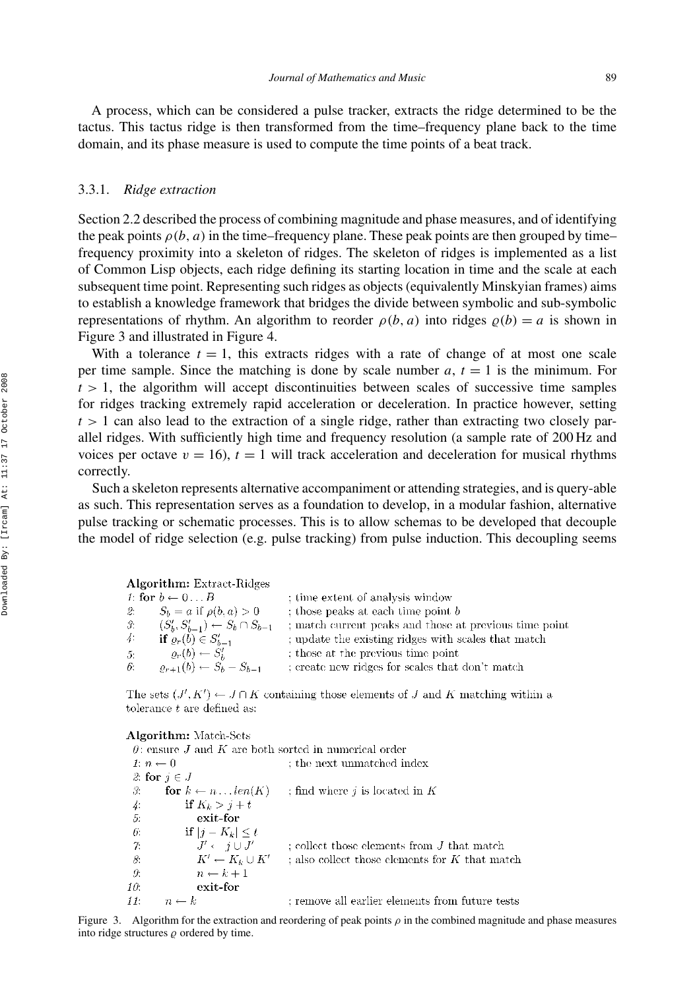A process, which can be considered a pulse tracker, extracts the ridge determined to be the tactus. This tactus ridge is then transformed from the time–frequency plane back to the time domain, and its phase measure is used to compute the time points of a beat track.

#### 3.3.1. *Ridge extraction*

Section 2.2 described the process of combining magnitude and phase measures, and of identifying the peak points  $\rho(b, a)$  in the time–frequency plane. These peak points are then grouped by time– frequency proximity into a skeleton of ridges. The skeleton of ridges is implemented as a list of Common Lisp objects, each ridge defining its starting location in time and the scale at each subsequent time point. Representing such ridges as objects (equivalently Minskyian frames) aims to establish a knowledge framework that bridges the divide between symbolic and sub-symbolic representations of rhythm. An algorithm to reorder  $\rho(b, a)$  into ridges  $\rho(b) = a$  is shown in Figure 3 and illustrated in Figure 4.

With a tolerance  $t = 1$ , this extracts ridges with a rate of change of at most one scale per time sample. Since the matching is done by scale number  $a, t = 1$  is the minimum. For  $t > 1$ , the algorithm will accept discontinuities between scales of successive time samples for ridges tracking extremely rapid acceleration or deceleration. In practice however, setting  $t > 1$  can also lead to the extraction of a single ridge, rather than extracting two closely parallel ridges. With sufficiently high time and frequency resolution (a sample rate of 200 Hz and voices per octave  $v = 16$ ,  $t = 1$  will track acceleration and deceleration for musical rhythms correctly.

Such a skeleton represents alternative accompaniment or attending strategies, and is query-able as such. This representation serves as a foundation to develop, in a modular fashion, alternative pulse tracking or schematic processes. This is to allow schemas to be developed that decouple the model of ridge selection (e.g. pulse tracking) from pulse induction. This decoupling seems

**Algorithm: Extract-Ridges** 

| ; those peaks at each time point b<br>$S_b = a$ if $\rho(b, a) > 0$<br>2:<br>$3 -$<br>$(S'_{b}, S'_{b-1}) \leftarrow S_{b} \cap S_{b-1}$<br>4:<br>if $\rho_r(b) \in S'_{b-1}$<br>; update the existing ridges with scales that match<br>$\rho_r(b) \leftarrow S'_b$<br>; those at the previous time point<br>5.<br>$\rho_{r+1}(b) \leftarrow S_b - S_{b-1}$<br>; create new ridges for scales that don't match<br>-6: | 1: for $b \leftarrow 0B$ | ; time extent of analysis window                       |
|-----------------------------------------------------------------------------------------------------------------------------------------------------------------------------------------------------------------------------------------------------------------------------------------------------------------------------------------------------------------------------------------------------------------------|--------------------------|--------------------------------------------------------|
|                                                                                                                                                                                                                                                                                                                                                                                                                       |                          |                                                        |
|                                                                                                                                                                                                                                                                                                                                                                                                                       |                          | ; match current peaks and those at previous time point |
|                                                                                                                                                                                                                                                                                                                                                                                                                       |                          |                                                        |
|                                                                                                                                                                                                                                                                                                                                                                                                                       |                          |                                                        |
|                                                                                                                                                                                                                                                                                                                                                                                                                       |                          |                                                        |

The sets  $(J', K') \leftarrow J \cap K$  containing those elements of J and K matching within a tolerance  $t$  are defined as:

Algorithm: Match-Sets  $\theta$ : ensure  $J$  and  $K$  are both sorted in numerical order 1:  $n \leftarrow 0$ ; the next unmatched index 2: for  $j \in J$  $\mathcal{S}$ : for  $k \leftarrow n \dots len(K)$ ; find where  $j$  is located in  $K$ if  $K_k > j+t$  $\frac{1}{4}$ : 5. exit-for ĥ. if  $|j - K_k| \leq t$  $\tilde{r}$  $J' \leftarrow j \cup J'$ ; collect those elements from  $J$  that match  $K' \leftarrow K_k \cup K'$ 8: ; also collect those elements for  $K$  that match  $\theta$ :  $n \leftarrow k+1$ 10: exit-for  $n \leftarrow k$ ; remove all earlier elements from future tests  $11:$ 

Figure 3. Algorithm for the extraction and reordering of peak points *ρ* in the combined magnitude and phase measures into ridge structures  $\rho$  ordered by time.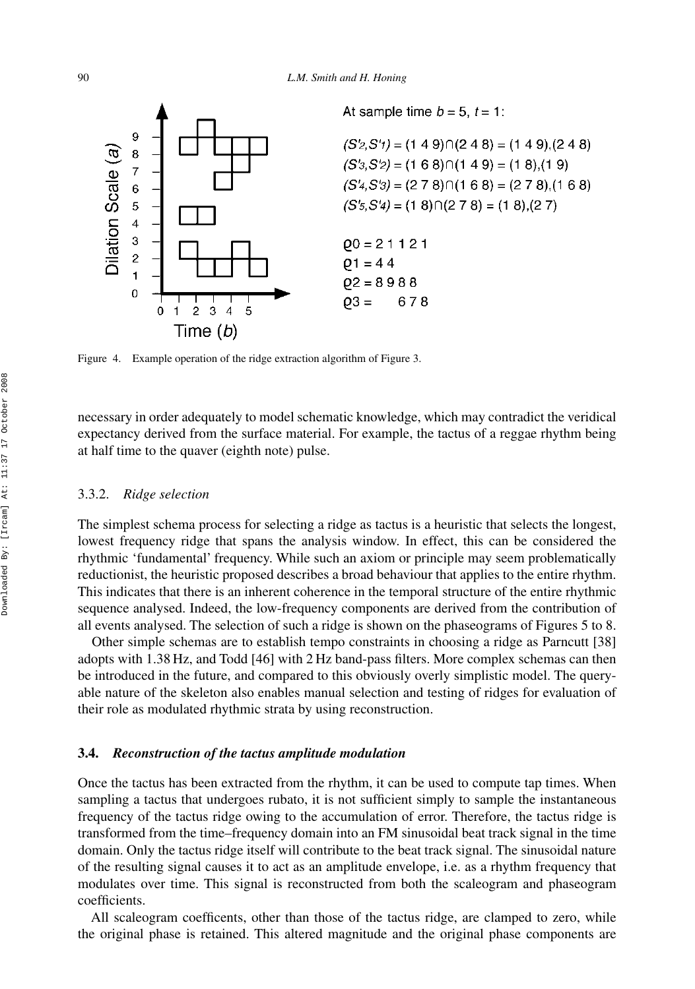

Figure 4. Example operation of the ridge extraction algorithm of Figure 3.

necessary in order adequately to model schematic knowledge, which may contradict the veridical expectancy derived from the surface material. For example, the tactus of a reggae rhythm being at half time to the quaver (eighth note) pulse.

### 3.3.2. *Ridge selection*

The simplest schema process for selecting a ridge as tactus is a heuristic that selects the longest, lowest frequency ridge that spans the analysis window. In effect, this can be considered the rhythmic 'fundamental' frequency. While such an axiom or principle may seem problematically reductionist, the heuristic proposed describes a broad behaviour that applies to the entire rhythm. This indicates that there is an inherent coherence in the temporal structure of the entire rhythmic sequence analysed. Indeed, the low-frequency components are derived from the contribution of all events analysed. The selection of such a ridge is shown on the phaseograms of Figures 5 to 8.

Other simple schemas are to establish tempo constraints in choosing a ridge as Parncutt [38] adopts with 1.38 Hz, and Todd [46] with 2 Hz band-pass filters. More complex schemas can then be introduced in the future, and compared to this obviously overly simplistic model. The queryable nature of the skeleton also enables manual selection and testing of ridges for evaluation of their role as modulated rhythmic strata by using reconstruction.

## **3.4.** *Reconstruction of the tactus amplitude modulation*

Once the tactus has been extracted from the rhythm, it can be used to compute tap times. When sampling a tactus that undergoes rubato, it is not sufficient simply to sample the instantaneous frequency of the tactus ridge owing to the accumulation of error. Therefore, the tactus ridge is transformed from the time–frequency domain into an FM sinusoidal beat track signal in the time domain. Only the tactus ridge itself will contribute to the beat track signal. The sinusoidal nature of the resulting signal causes it to act as an amplitude envelope, i.e. as a rhythm frequency that modulates over time. This signal is reconstructed from both the scaleogram and phaseogram coefficients.

All scaleogram coefficents, other than those of the tactus ridge, are clamped to zero, while the original phase is retained. This altered magnitude and the original phase components are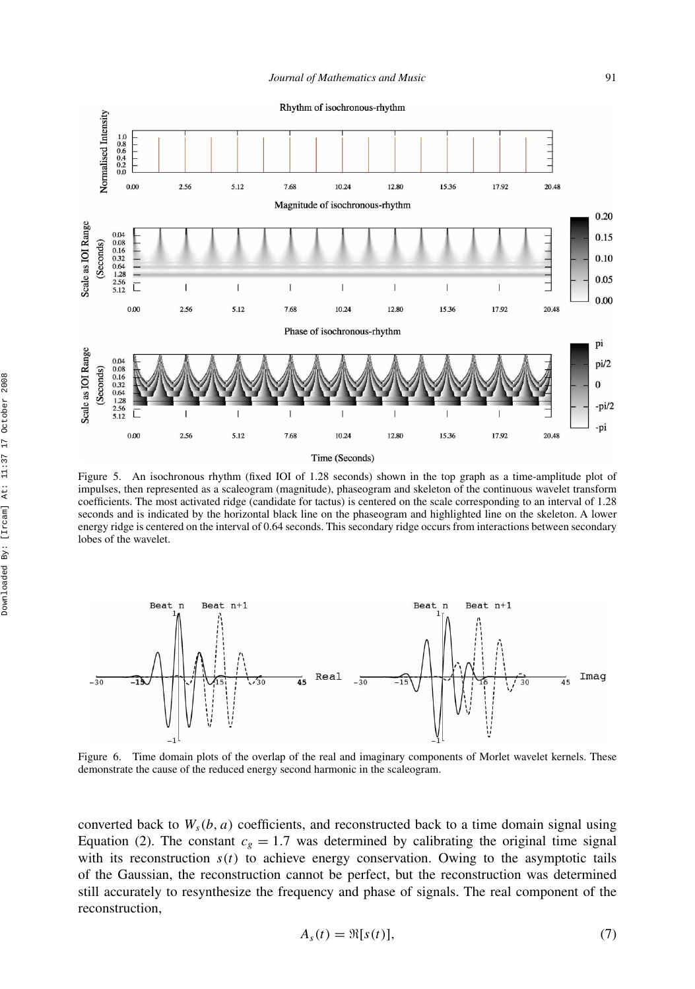

Figure 5. An isochronous rhythm (fixed IOI of 1.28 seconds) shown in the top graph as a time-amplitude plot of impulses, then represented as a scaleogram (magnitude), phaseogram and skeleton of the continuous wavelet transform coefficients. The most activated ridge (candidate for tactus) is centered on the scale corresponding to an interval of 1.28 seconds and is indicated by the horizontal black line on the phaseogram and highlighted line on the skeleton. A lower energy ridge is centered on the interval of 0.64 seconds. This secondary ridge occurs from interactions between secondary lobes of the wavelet.



Figure 6. Time domain plots of the overlap of the real and imaginary components of Morlet wavelet kernels. These demonstrate the cause of the reduced energy second harmonic in the scaleogram.

converted back to  $W_s(b, a)$  coefficients, and reconstructed back to a time domain signal using Equation (2). The constant  $c<sub>g</sub> = 1.7$  was determined by calibrating the original time signal with its reconstruction  $s(t)$  to achieve energy conservation. Owing to the asymptotic tails of the Gaussian, the reconstruction cannot be perfect, but the reconstruction was determined still accurately to resynthesize the frequency and phase of signals. The real component of the reconstruction,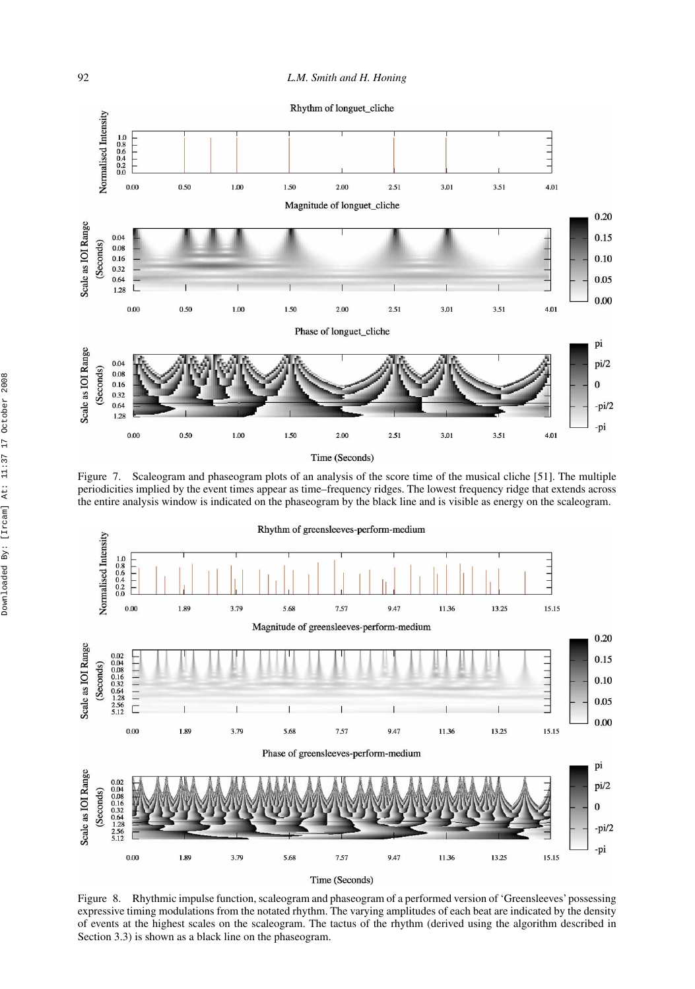92 *L.M. Smith and H. Honing*



Figure 7. Scaleogram and phaseogram plots of an analysis of the score time of the musical cliche [51]. The multiple periodicities implied by the event times appear as time–frequency ridges. The lowest frequency ridge that extends across the entire analysis window is indicated on the phaseogram by the black line and is visible as energy on the scaleogram.



Figure 8. Rhythmic impulse function, scaleogram and phaseogram of a performed version of 'Greensleeves'possessing expressive timing modulations from the notated rhythm. The varying amplitudes of each beat are indicated by the density of events at the highest scales on the scaleogram. The tactus of the rhythm (derived using the algorithm described in Section 3.3) is shown as a black line on the phaseogram.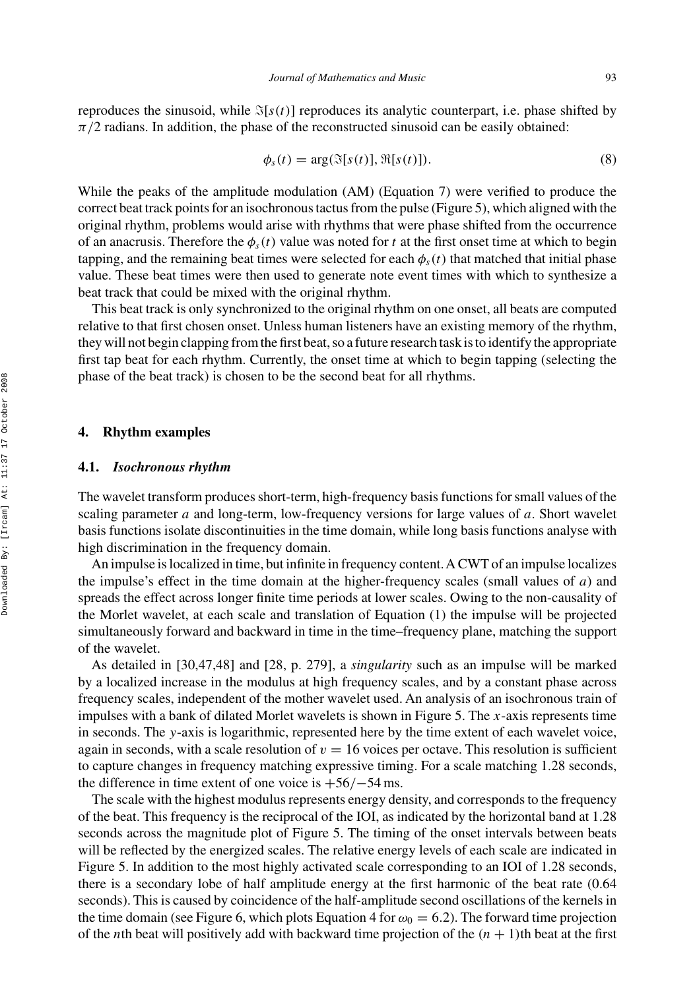reproduces the sinusoid, while  $\Im(s(t))$  reproduces its analytic counterpart, i.e. phase shifted by  $\pi/2$  radians. In addition, the phase of the reconstructed sinusoid can be easily obtained:

$$
\phi_s(t) = \arg(\Im[s(t)], \Re[s(t)]). \tag{8}
$$

While the peaks of the amplitude modulation (AM) (Equation 7) were verified to produce the correct beat track points for an isochronous tactus from the pulse (Figure 5), which aligned with the original rhythm, problems would arise with rhythms that were phase shifted from the occurrence of an anacrusis. Therefore the  $\phi_s(t)$  value was noted for *t* at the first onset time at which to begin tapping, and the remaining beat times were selected for each  $\phi_s(t)$  that matched that initial phase value. These beat times were then used to generate note event times with which to synthesize a beat track that could be mixed with the original rhythm.

This beat track is only synchronized to the original rhythm on one onset, all beats are computed relative to that first chosen onset. Unless human listeners have an existing memory of the rhythm, they will not begin clapping from the first beat, so a future research task is to identify the appropriate first tap beat for each rhythm. Currently, the onset time at which to begin tapping (selecting the phase of the beat track) is chosen to be the second beat for all rhythms.

#### **4. Rhythm examples**

#### **4.1.** *Isochronous rhythm*

The wavelet transform produces short-term, high-frequency basis functions for small values of the scaling parameter *a* and long-term, low-frequency versions for large values of *a*. Short wavelet basis functions isolate discontinuities in the time domain, while long basis functions analyse with high discrimination in the frequency domain.

An impulse is localized in time, but infinite in frequency content.A CWT of an impulse localizes the impulse's effect in the time domain at the higher-frequency scales (small values of *a*) and spreads the effect across longer finite time periods at lower scales. Owing to the non-causality of the Morlet wavelet, at each scale and translation of Equation (1) the impulse will be projected simultaneously forward and backward in time in the time–frequency plane, matching the support of the wavelet.

As detailed in [30,47,48] and [28, p. 279], a *singularity* such as an impulse will be marked by a localized increase in the modulus at high frequency scales, and by a constant phase across frequency scales, independent of the mother wavelet used. An analysis of an isochronous train of impulses with a bank of dilated Morlet wavelets is shown in Figure 5. The *x*-axis represents time in seconds. The *y*-axis is logarithmic, represented here by the time extent of each wavelet voice, again in seconds, with a scale resolution of  $v = 16$  voices per octave. This resolution is sufficient to capture changes in frequency matching expressive timing. For a scale matching 1.28 seconds, the difference in time extent of one voice is +56*/*−54 ms.

The scale with the highest modulus represents energy density, and corresponds to the frequency of the beat. This frequency is the reciprocal of the IOI, as indicated by the horizontal band at 1.28 seconds across the magnitude plot of Figure 5. The timing of the onset intervals between beats will be reflected by the energized scales. The relative energy levels of each scale are indicated in Figure 5. In addition to the most highly activated scale corresponding to an IOI of 1.28 seconds, there is a secondary lobe of half amplitude energy at the first harmonic of the beat rate (0.64 seconds). This is caused by coincidence of the half-amplitude second oscillations of the kernels in the time domain (see Figure 6, which plots Equation 4 for  $\omega_0 = 6.2$ ). The forward time projection of the *n*th beat will positively add with backward time projection of the  $(n + 1)$ th beat at the first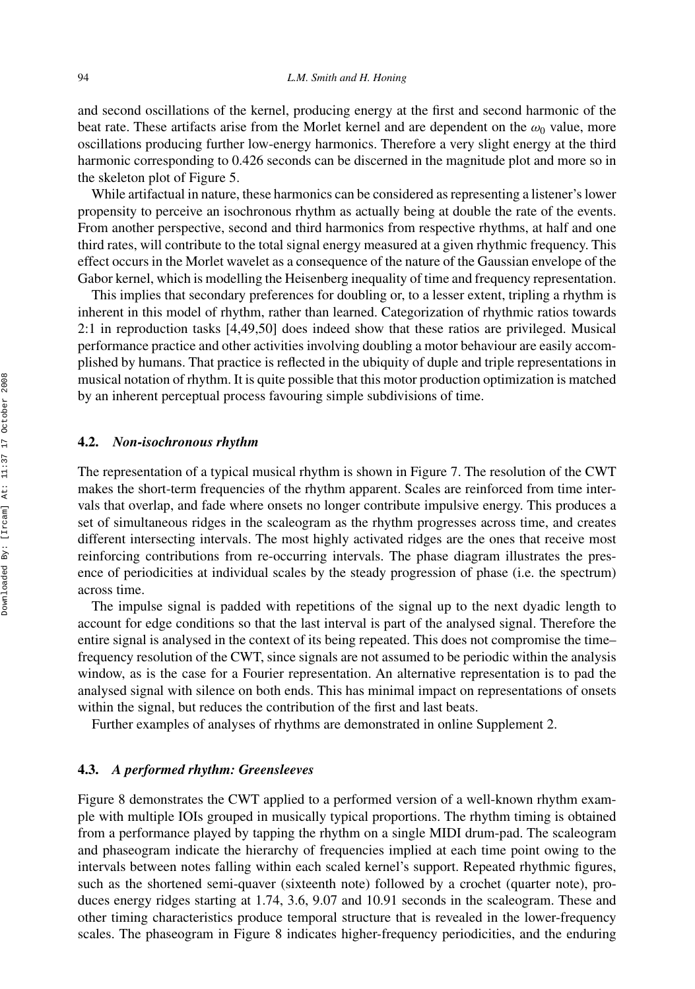and second oscillations of the kernel, producing energy at the first and second harmonic of the beat rate. These artifacts arise from the Morlet kernel and are dependent on the  $\omega_0$  value, more oscillations producing further low-energy harmonics. Therefore a very slight energy at the third harmonic corresponding to 0.426 seconds can be discerned in the magnitude plot and more so in the skeleton plot of Figure 5.

While artifactual in nature, these harmonics can be considered as representing a listener's lower propensity to perceive an isochronous rhythm as actually being at double the rate of the events. From another perspective, second and third harmonics from respective rhythms, at half and one third rates, will contribute to the total signal energy measured at a given rhythmic frequency. This effect occurs in the Morlet wavelet as a consequence of the nature of the Gaussian envelope of the Gabor kernel, which is modelling the Heisenberg inequality of time and frequency representation.

This implies that secondary preferences for doubling or, to a lesser extent, tripling a rhythm is inherent in this model of rhythm, rather than learned. Categorization of rhythmic ratios towards 2:1 in reproduction tasks [4,49,50] does indeed show that these ratios are privileged. Musical performance practice and other activities involving doubling a motor behaviour are easily accomplished by humans. That practice is reflected in the ubiquity of duple and triple representations in musical notation of rhythm. It is quite possible that this motor production optimization is matched by an inherent perceptual process favouring simple subdivisions of time.

#### **4.2.** *Non-isochronous rhythm*

The representation of a typical musical rhythm is shown in Figure 7. The resolution of the CWT makes the short-term frequencies of the rhythm apparent. Scales are reinforced from time intervals that overlap, and fade where onsets no longer contribute impulsive energy. This produces a set of simultaneous ridges in the scaleogram as the rhythm progresses across time, and creates different intersecting intervals. The most highly activated ridges are the ones that receive most reinforcing contributions from re-occurring intervals. The phase diagram illustrates the presence of periodicities at individual scales by the steady progression of phase (i.e. the spectrum) across time.

The impulse signal is padded with repetitions of the signal up to the next dyadic length to account for edge conditions so that the last interval is part of the analysed signal. Therefore the entire signal is analysed in the context of its being repeated. This does not compromise the time– frequency resolution of the CWT, since signals are not assumed to be periodic within the analysis window, as is the case for a Fourier representation. An alternative representation is to pad the analysed signal with silence on both ends. This has minimal impact on representations of onsets within the signal, but reduces the contribution of the first and last beats.

Further examples of analyses of rhythms are demonstrated in online Supplement 2.

#### **4.3.** *A performed rhythm: Greensleeves*

Figure 8 demonstrates the CWT applied to a performed version of a well-known rhythm example with multiple IOIs grouped in musically typical proportions. The rhythm timing is obtained from a performance played by tapping the rhythm on a single MIDI drum-pad. The scaleogram and phaseogram indicate the hierarchy of frequencies implied at each time point owing to the intervals between notes falling within each scaled kernel's support. Repeated rhythmic figures, such as the shortened semi-quaver (sixteenth note) followed by a crochet (quarter note), produces energy ridges starting at 1.74, 3.6, 9.07 and 10.91 seconds in the scaleogram. These and other timing characteristics produce temporal structure that is revealed in the lower-frequency scales. The phaseogram in Figure 8 indicates higher-frequency periodicities, and the enduring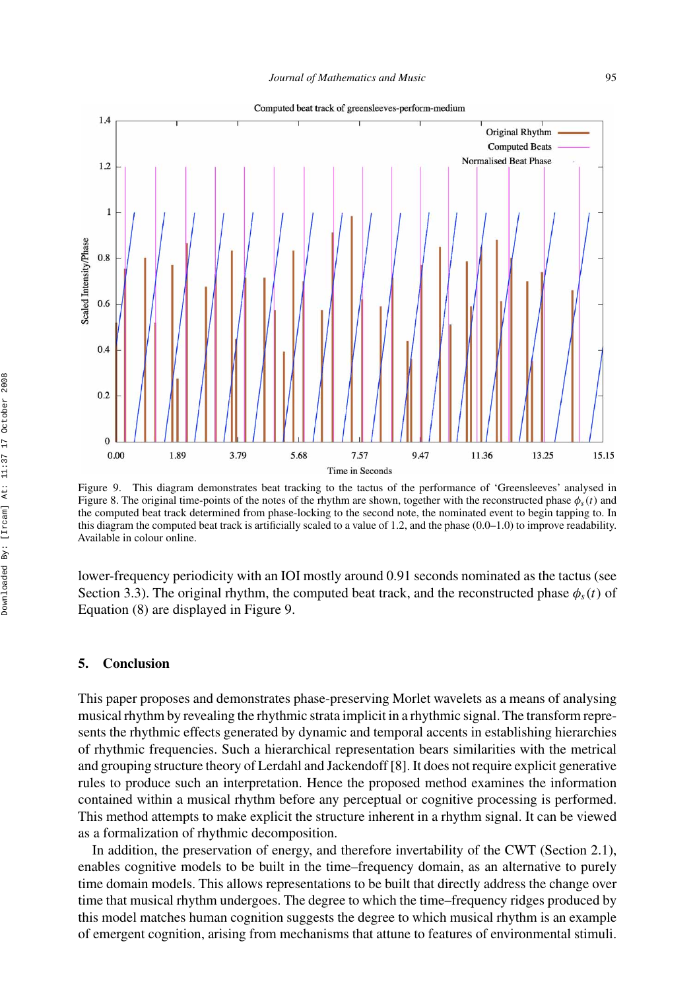

Figure 9. This diagram demonstrates beat tracking to the tactus of the performance of 'Greensleeves' analysed in Figure 8. The original time-points of the notes of the rhythm are shown, together with the reconstructed phase  $\phi_s(t)$  and the computed beat track determined from phase-locking to the second note, the nominated event to begin tapping to. In this diagram the computed beat track is artificially scaled to a value of 1.2, and the phase (0.0–1.0) to improve readability. Available in colour online.

lower-frequency periodicity with an IOI mostly around 0.91 seconds nominated as the tactus (see Section 3.3). The original rhythm, the computed beat track, and the reconstructed phase  $\phi_s(t)$  of Equation (8) are displayed in Figure 9.

## **5. Conclusion**

This paper proposes and demonstrates phase-preserving Morlet wavelets as a means of analysing musical rhythm by revealing the rhythmic strata implicit in a rhythmic signal. The transform represents the rhythmic effects generated by dynamic and temporal accents in establishing hierarchies of rhythmic frequencies. Such a hierarchical representation bears similarities with the metrical and grouping structure theory of Lerdahl and Jackendoff [8]. It does not require explicit generative rules to produce such an interpretation. Hence the proposed method examines the information contained within a musical rhythm before any perceptual or cognitive processing is performed. This method attempts to make explicit the structure inherent in a rhythm signal. It can be viewed as a formalization of rhythmic decomposition.

In addition, the preservation of energy, and therefore invertability of the CWT (Section 2.1), enables cognitive models to be built in the time–frequency domain, as an alternative to purely time domain models. This allows representations to be built that directly address the change over time that musical rhythm undergoes. The degree to which the time–frequency ridges produced by this model matches human cognition suggests the degree to which musical rhythm is an example of emergent cognition, arising from mechanisms that attune to features of environmental stimuli.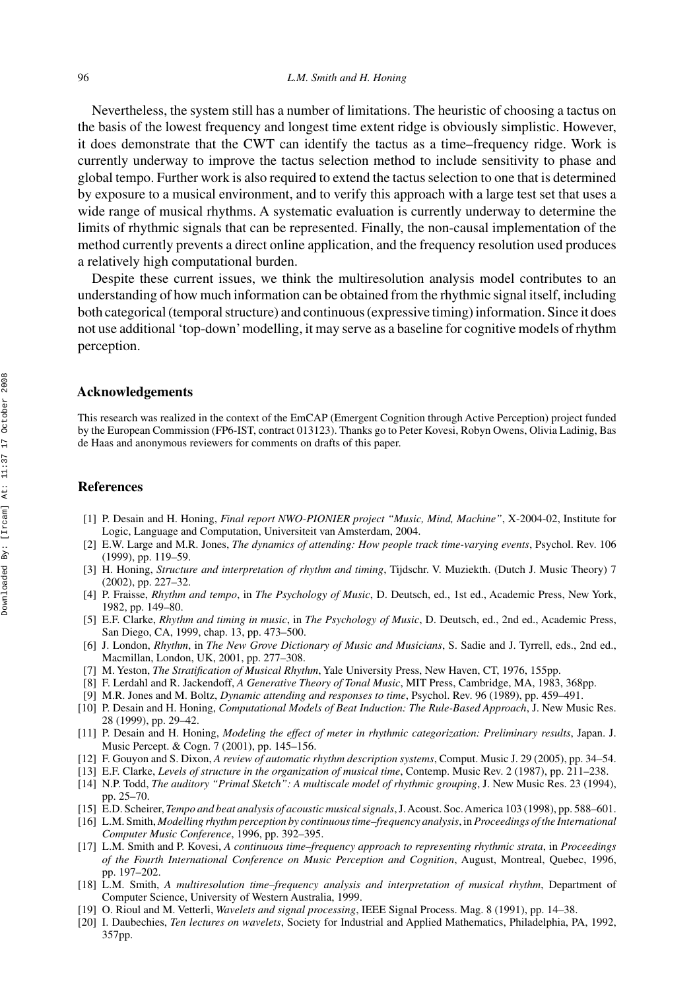Nevertheless, the system still has a number of limitations. The heuristic of choosing a tactus on the basis of the lowest frequency and longest time extent ridge is obviously simplistic. However, it does demonstrate that the CWT can identify the tactus as a time–frequency ridge. Work is currently underway to improve the tactus selection method to include sensitivity to phase and global tempo. Further work is also required to extend the tactus selection to one that is determined by exposure to a musical environment, and to verify this approach with a large test set that uses a wide range of musical rhythms. A systematic evaluation is currently underway to determine the limits of rhythmic signals that can be represented. Finally, the non-causal implementation of the method currently prevents a direct online application, and the frequency resolution used produces a relatively high computational burden.

Despite these current issues, we think the multiresolution analysis model contributes to an understanding of how much information can be obtained from the rhythmic signal itself, including both categorical (temporal structure) and continuous (expressive timing) information. Since it does not use additional 'top-down'modelling, it may serve as a baseline for cognitive models of rhythm perception.

#### **Acknowledgements**

This research was realized in the context of the EmCAP (Emergent Cognition through Active Perception) project funded by the European Commission (FP6-IST, contract 013123). Thanks go to Peter Kovesi, Robyn Owens, Olivia Ladinig, Bas de Haas and anonymous reviewers for comments on drafts of this paper.

#### **References**

- [1] P. Desain and H. Honing, *Final report NWO-PIONIER project "Music, Mind, Machine"*, X-2004-02, Institute for Logic, Language and Computation, Universiteit van Amsterdam, 2004.
- [2] E.W. Large and M.R. Jones, *The dynamics of attending: How people track time-varying events*, Psychol. Rev. 106 (1999), pp. 119–59.
- [3] H. Honing, *Structure and interpretation of rhythm and timing*, Tijdschr. V. Muziekth. (Dutch J. Music Theory) 7 (2002), pp. 227–32.
- [4] P. Fraisse, *Rhythm and tempo*, in *The Psychology of Music*, D. Deutsch, ed., 1st ed., Academic Press, New York, 1982, pp. 149–80.
- [5] E.F. Clarke, *Rhythm and timing in music*, in *The Psychology of Music*, D. Deutsch, ed., 2nd ed., Academic Press, San Diego, CA, 1999, chap. 13, pp. 473–500.
- [6] J. London, *Rhythm*, in *The New Grove Dictionary of Music and Musicians*, S. Sadie and J. Tyrrell, eds., 2nd ed., Macmillan, London, UK, 2001, pp. 277–308.
- [7] M. Yeston, *The Stratification of Musical Rhythm*, Yale University Press, New Haven, CT, 1976, 155pp.
- [8] F. Lerdahl and R. Jackendoff, *A Generative Theory of Tonal Music*, MIT Press, Cambridge, MA, 1983, 368pp.
- [9] M.R. Jones and M. Boltz, *Dynamic attending and responses to time*, Psychol. Rev. 96 (1989), pp. 459–491.
- [10] P. Desain and H. Honing, *Computational Models of Beat Induction: The Rule-Based Approach*, J. New Music Res. 28 (1999), pp. 29–42.
- [11] P. Desain and H. Honing, *Modeling the effect of meter in rhythmic categorization: Preliminary results*, Japan. J. Music Percept. & Cogn. 7 (2001), pp. 145–156.
- [12] F. Gouyon and S. Dixon, *A review of automatic rhythm description systems*, Comput. Music J. 29 (2005), pp. 34–54.
- [13] E.F. Clarke, *Levels of structure in the organization of musical time*, Contemp. Music Rev. 2 (1987), pp. 211–238.
- [14] N.P. Todd, *The auditory "Primal Sketch": A multiscale model of rhythmic grouping*, J. New Music Res. 23 (1994), pp. 25–70.
- [15] E.D. Scheirer, *Tempo and beat analysis of acoustic musical signals*, J.Acoust. Soc.America 103 (1998), pp. 588–601.
- [16] L.M. Smith, *Modelling rhythm perception by continuous time–frequency analysis*, in *Proceedings of the International Computer Music Conference*, 1996, pp. 392–395.
- [17] L.M. Smith and P. Kovesi, *A continuous time–frequency approach to representing rhythmic strata*, in *Proceedings of the Fourth International Conference on Music Perception and Cognition*, August, Montreal, Quebec, 1996, pp. 197–202.
- [18] L.M. Smith, *A multiresolution time–frequency analysis and interpretation of musical rhythm*, Department of Computer Science, University of Western Australia, 1999.
- [19] O. Rioul and M. Vetterli, *Wavelets and signal processing*, IEEE Signal Process. Mag. 8 (1991), pp. 14–38.
- [20] I. Daubechies, *Ten lectures on wavelets*, Society for Industrial and Applied Mathematics, Philadelphia, PA, 1992, 357pp.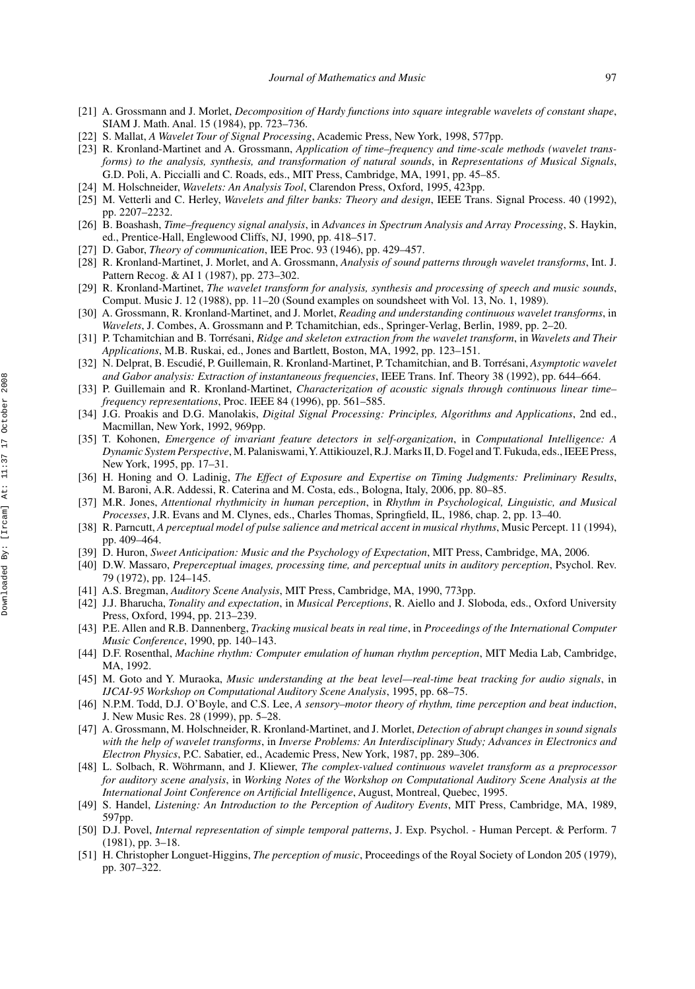- [21] A. Grossmann and J. Morlet, *Decomposition of Hardy functions into square integrable wavelets of constant shape*, SIAM J. Math. Anal. 15 (1984), pp. 723–736.
- [22] S. Mallat, *A Wavelet Tour of Signal Processing*, Academic Press, New York, 1998, 577pp.
- [23] R. Kronland-Martinet and A. Grossmann, *Application of time–frequency and time-scale methods (wavelet transforms) to the analysis, synthesis, and transformation of natural sounds*, in *Representations of Musical Signals*, G.D. Poli, A. Piccialli and C. Roads, eds., MIT Press, Cambridge, MA, 1991, pp. 45–85.
- [24] M. Holschneider, *Wavelets: An Analysis Tool*, Clarendon Press, Oxford, 1995, 423pp.
- [25] M. Vetterli and C. Herley, *Wavelets and filter banks: Theory and design*, IEEE Trans. Signal Process. 40 (1992), pp. 2207–2232.
- [26] B. Boashash, *Time–frequency signal analysis*, in *Advances in Spectrum Analysis and Array Processing*, S. Haykin, ed., Prentice-Hall, Englewood Cliffs, NJ, 1990, pp. 418–517.
- [27] D. Gabor, *Theory of communication*, IEE Proc. 93 (1946), pp. 429–457.
- [28] R. Kronland-Martinet, J. Morlet, and A. Grossmann, *Analysis of sound patterns through wavelet transforms*, Int. J. Pattern Recog. & AI 1 (1987), pp. 273–302.
- [29] R. Kronland-Martinet, *The wavelet transform for analysis, synthesis and processing of speech and music sounds*, Comput. Music J. 12 (1988), pp. 11–20 (Sound examples on soundsheet with Vol. 13, No. 1, 1989).
- [30] A. Grossmann, R. Kronland-Martinet, and J. Morlet, *Reading and understanding continuous wavelet transforms*, in *Wavelets*, J. Combes, A. Grossmann and P. Tchamitchian, eds., Springer-Verlag, Berlin, 1989, pp. 2–20.
- [31] P. Tchamitchian and B. Torrésani, *Ridge and skeleton extraction from the wavelet transform*, in *Wavelets and Their Applications*, M.B. Ruskai, ed., Jones and Bartlett, Boston, MA, 1992, pp. 123–151.
- [32] N. Delprat, B. Escudié, P. Guillemain, R. Kronland-Martinet, P. Tchamitchian, and B. Torrésani, *Asymptotic wavelet and Gabor analysis: Extraction of instantaneous frequencies*, IEEE Trans. Inf. Theory 38 (1992), pp. 644–664.
- [33] P. Guillemain and R. Kronland-Martinet, *Characterization of acoustic signals through continuous linear time– frequency representations*, Proc. IEEE 84 (1996), pp. 561–585.
- [34] J.G. Proakis and D.G. Manolakis, *Digital Signal Processing: Principles, Algorithms and Applications*, 2nd ed., Macmillan, New York, 1992, 969pp.
- [35] T. Kohonen, *Emergence of invariant feature detectors in self-organization*, in *Computational Intelligence: A Dynamic System Perspective*, M. Palaniswami,Y.Attikiouzel, R.J. Marks II, D. Fogel and T. Fukuda, eds., IEEE Press, New York, 1995, pp. 17–31.
- [36] H. Honing and O. Ladinig, *The Effect of Exposure and Expertise on Timing Judgments: Preliminary Results*, M. Baroni, A.R. Addessi, R. Caterina and M. Costa, eds., Bologna, Italy, 2006, pp. 80–85.
- [37] M.R. Jones, *Attentional rhythmicity in human perception*, in *Rhythm in Psychological, Linguistic, and Musical Processes*, J.R. Evans and M. Clynes, eds., Charles Thomas, Springfield, IL, 1986, chap. 2, pp. 13–40.
- [38] R. Parncutt, *A perceptual model of pulse salience and metrical accent in musical rhythms*, Music Percept. 11 (1994), pp. 409–464.
- [39] D. Huron, *Sweet Anticipation: Music and the Psychology of Expectation*, MIT Press, Cambridge, MA, 2006.
- [40] D.W. Massaro, *Preperceptual images, processing time, and perceptual units in auditory perception*, Psychol. Rev. 79 (1972), pp. 124–145.
- [41] A.S. Bregman, *Auditory Scene Analysis*, MIT Press, Cambridge, MA, 1990, 773pp.
- [42] J.J. Bharucha, *Tonality and expectation*, in *Musical Perceptions*, R. Aiello and J. Sloboda, eds., Oxford University Press, Oxford, 1994, pp. 213–239.
- [43] P.E. Allen and R.B. Dannenberg, *Tracking musical beats in real time*, in *Proceedings of the International Computer Music Conference*, 1990, pp. 140–143.
- [44] D.F. Rosenthal, *Machine rhythm: Computer emulation of human rhythm perception*, MIT Media Lab, Cambridge, MA, 1992.
- [45] M. Goto and Y. Muraoka, *Music understanding at the beat level—real-time beat tracking for audio signals*, in *IJCAI-95 Workshop on Computational Auditory Scene Analysis*, 1995, pp. 68–75.
- [46] N.P.M. Todd, D.J. O'Boyle, and C.S. Lee, *A sensory–motor theory of rhythm, time perception and beat induction*, J. New Music Res. 28 (1999), pp. 5–28.
- [47] A. Grossmann, M. Holschneider, R. Kronland-Martinet, and J. Morlet, *Detection of abrupt changes in sound signals with the help of wavelet transforms*, in *Inverse Problems: An Interdisciplinary Study; Advances in Electronics and Electron Physics*, P.C. Sabatier, ed., Academic Press, New York, 1987, pp. 289–306.
- [48] L. Solbach, R. Wöhrmann, and J. Kliewer, *The complex-valued continuous wavelet transform as a preprocessor for auditory scene analysis*, in *Working Notes of the Workshop on Computational Auditory Scene Analysis at the International Joint Conference on Artificial Intelligence*, August, Montreal, Quebec, 1995.
- [49] S. Handel, *Listening: An Introduction to the Perception of Auditory Events*, MIT Press, Cambridge, MA, 1989, 597pp.
- [50] D.J. Povel, *Internal representation of simple temporal patterns*, J. Exp. Psychol. Human Percept. & Perform. 7 (1981), pp. 3–18.
- [51] H. Christopher Longuet-Higgins, *The perception of music*, Proceedings of the Royal Society of London 205 (1979), pp. 307–322.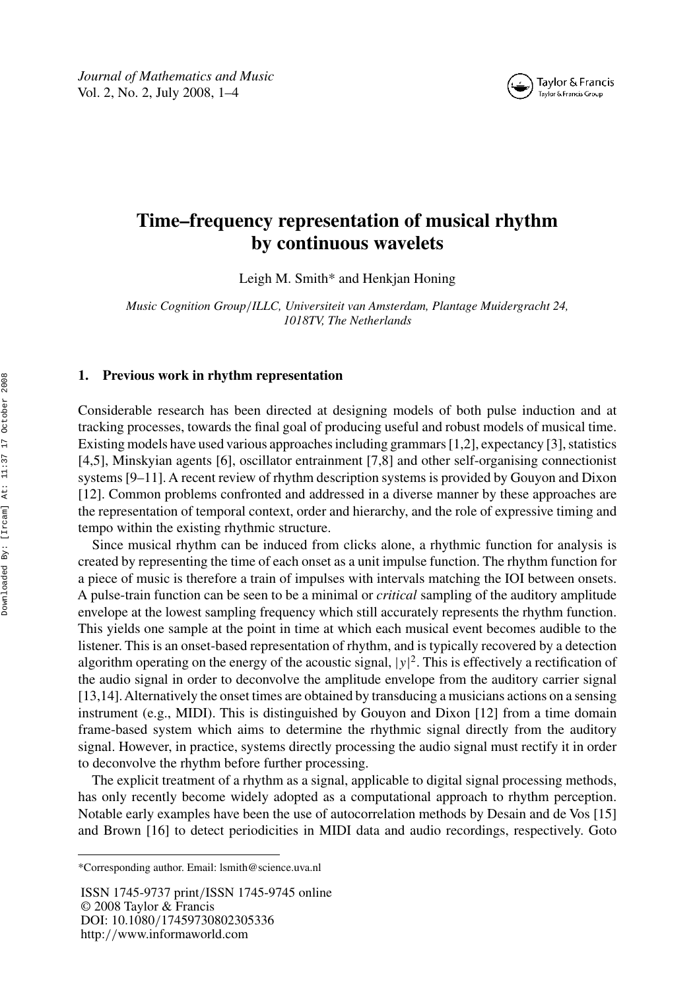*Journal of Mathematics and Music* Vol. 2, No. 2, July 2008, 1–4



Taylor & Francis Taylor & Francis Group

## **Time–frequency representation of musical rhythm by continuous wavelets**

Leigh M. Smith\* and Henkjan Honing

*Music Cognition Group/ILLC, Universiteit van Amsterdam, Plantage Muidergracht 24, 1018TV, The Netherlands*

#### **1. Previous work in rhythm representation**

Considerable research has been directed at designing models of both pulse induction and at tracking processes, towards the final goal of producing useful and robust models of musical time. Existing models have used various approaches including grammars [1,2], expectancy [3], statistics [4,5], Minskyian agents [6], oscillator entrainment [7,8] and other self-organising connectionist systems [9–11]. A recent review of rhythm description systems is provided by Gouyon and Dixon [12]. Common problems confronted and addressed in a diverse manner by these approaches are the representation of temporal context, order and hierarchy, and the role of expressive timing and tempo within the existing rhythmic structure.

Since musical rhythm can be induced from clicks alone, a rhythmic function for analysis is created by representing the time of each onset as a unit impulse function. The rhythm function for a piece of music is therefore a train of impulses with intervals matching the IOI between onsets. A pulse-train function can be seen to be a minimal or *critical* sampling of the auditory amplitude envelope at the lowest sampling frequency which still accurately represents the rhythm function. This yields one sample at the point in time at which each musical event becomes audible to the listener. This is an onset-based representation of rhythm, and is typically recovered by a detection algorithm operating on the energy of the acoustic signal,  $|y|^2$ . This is effectively a rectification of the audio signal in order to deconvolve the amplitude envelope from the auditory carrier signal [13,14].Alternatively the onset times are obtained by transducing a musicians actions on a sensing instrument (e.g., MIDI). This is distinguished by Gouyon and Dixon [12] from a time domain frame-based system which aims to determine the rhythmic signal directly from the auditory signal. However, in practice, systems directly processing the audio signal must rectify it in order to deconvolve the rhythm before further processing.

The explicit treatment of a rhythm as a signal, applicable to digital signal processing methods, has only recently become widely adopted as a computational approach to rhythm perception. Notable early examples have been the use of autocorrelation methods by Desain and de Vos [15] and Brown [16] to detect periodicities in MIDI data and audio recordings, respectively. Goto

ISSN 1745-9737 print*/*ISSN 1745-9745 online © 2008 Taylor & Francis DOI: 10.1080*/*17459730802305336 http:*//*www.informaworld.com

<sup>\*</sup>Corresponding author. Email: lsmith@science.uva.nl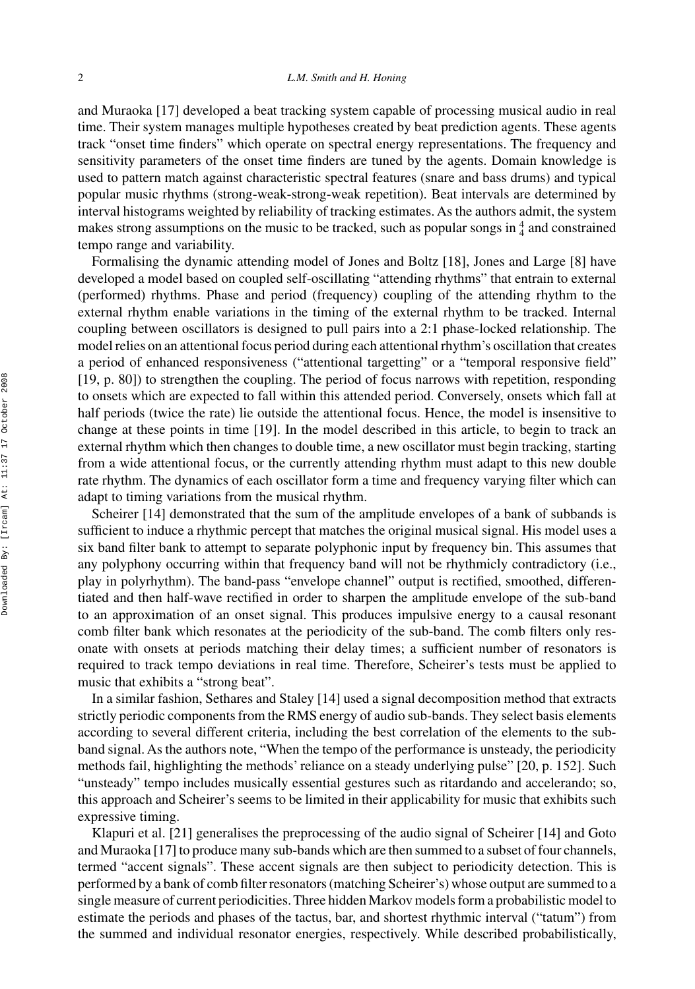and Muraoka [17] developed a beat tracking system capable of processing musical audio in real time. Their system manages multiple hypotheses created by beat prediction agents. These agents track "onset time finders" which operate on spectral energy representations. The frequency and sensitivity parameters of the onset time finders are tuned by the agents. Domain knowledge is used to pattern match against characteristic spectral features (snare and bass drums) and typical popular music rhythms (strong-weak-strong-weak repetition). Beat intervals are determined by interval histograms weighted by reliability of tracking estimates. As the authors admit, the system makes strong assumptions on the music to be tracked, such as popular songs in  $\frac{4}{4}$  and constrained tempo range and variability.

Formalising the dynamic attending model of Jones and Boltz [18], Jones and Large [8] have developed a model based on coupled self-oscillating "attending rhythms" that entrain to external (performed) rhythms. Phase and period (frequency) coupling of the attending rhythm to the external rhythm enable variations in the timing of the external rhythm to be tracked. Internal coupling between oscillators is designed to pull pairs into a 2:1 phase-locked relationship. The model relies on an attentional focus period during each attentional rhythm's oscillation that creates a period of enhanced responsiveness ("attentional targetting" or a "temporal responsive field" [19, p. 80]) to strengthen the coupling. The period of focus narrows with repetition, responding to onsets which are expected to fall within this attended period. Conversely, onsets which fall at half periods (twice the rate) lie outside the attentional focus. Hence, the model is insensitive to change at these points in time [19]. In the model described in this article, to begin to track an external rhythm which then changes to double time, a new oscillator must begin tracking, starting from a wide attentional focus, or the currently attending rhythm must adapt to this new double rate rhythm. The dynamics of each oscillator form a time and frequency varying filter which can adapt to timing variations from the musical rhythm.

Scheirer [14] demonstrated that the sum of the amplitude envelopes of a bank of subbands is sufficient to induce a rhythmic percept that matches the original musical signal. His model uses a six band filter bank to attempt to separate polyphonic input by frequency bin. This assumes that any polyphony occurring within that frequency band will not be rhythmicly contradictory (i.e., play in polyrhythm). The band-pass "envelope channel" output is rectified, smoothed, differentiated and then half-wave rectified in order to sharpen the amplitude envelope of the sub-band to an approximation of an onset signal. This produces impulsive energy to a causal resonant comb filter bank which resonates at the periodicity of the sub-band. The comb filters only resonate with onsets at periods matching their delay times; a sufficient number of resonators is required to track tempo deviations in real time. Therefore, Scheirer's tests must be applied to music that exhibits a "strong beat".

In a similar fashion, Sethares and Staley [14] used a signal decomposition method that extracts strictly periodic components from the RMS energy of audio sub-bands. They select basis elements according to several different criteria, including the best correlation of the elements to the subband signal. As the authors note, "When the tempo of the performance is unsteady, the periodicity methods fail, highlighting the methods' reliance on a steady underlying pulse" [20, p. 152]. Such "unsteady" tempo includes musically essential gestures such as ritardando and accelerando; so, this approach and Scheirer's seems to be limited in their applicability for music that exhibits such expressive timing.

Klapuri et al. [21] generalises the preprocessing of the audio signal of Scheirer [14] and Goto and Muraoka [17] to produce many sub-bands which are then summed to a subset of four channels, termed "accent signals". These accent signals are then subject to periodicity detection. This is performed by a bank of comb filter resonators (matching Scheirer's) whose output are summed to a single measure of current periodicities. Three hidden Markov models form a probabilistic model to estimate the periods and phases of the tactus, bar, and shortest rhythmic interval ("tatum") from the summed and individual resonator energies, respectively. While described probabilistically,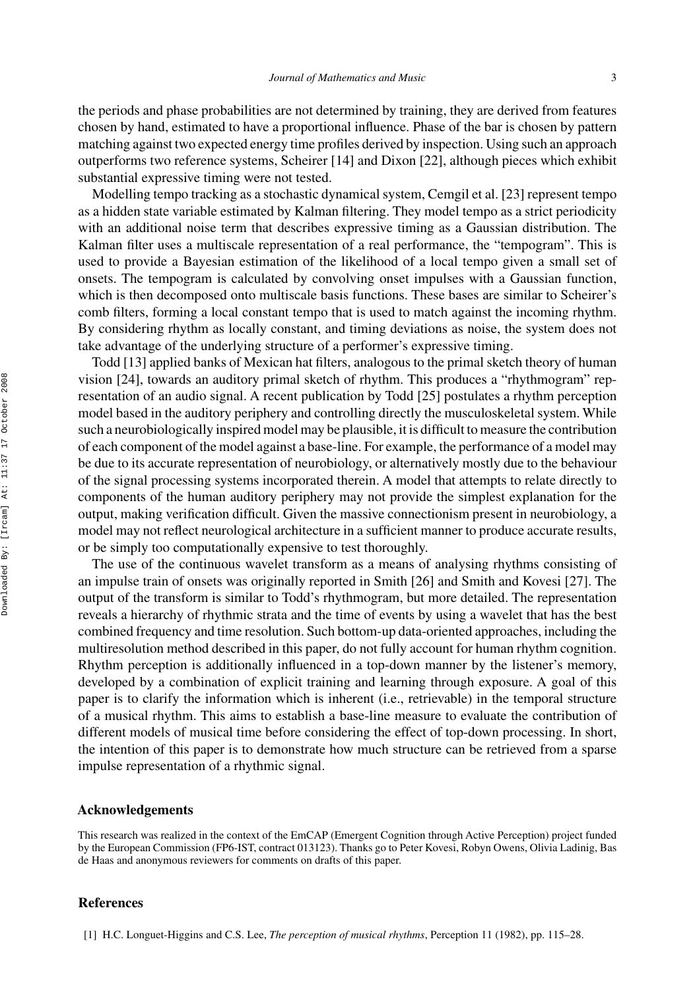the periods and phase probabilities are not determined by training, they are derived from features chosen by hand, estimated to have a proportional influence. Phase of the bar is chosen by pattern matching against two expected energy time profiles derived by inspection. Using such an approach outperforms two reference systems, Scheirer [14] and Dixon [22], although pieces which exhibit substantial expressive timing were not tested.

Modelling tempo tracking as a stochastic dynamical system, Cemgil et al. [23] represent tempo as a hidden state variable estimated by Kalman filtering. They model tempo as a strict periodicity with an additional noise term that describes expressive timing as a Gaussian distribution. The Kalman filter uses a multiscale representation of a real performance, the "tempogram". This is used to provide a Bayesian estimation of the likelihood of a local tempo given a small set of onsets. The tempogram is calculated by convolving onset impulses with a Gaussian function, which is then decomposed onto multiscale basis functions. These bases are similar to Scheirer's comb filters, forming a local constant tempo that is used to match against the incoming rhythm. By considering rhythm as locally constant, and timing deviations as noise, the system does not take advantage of the underlying structure of a performer's expressive timing.

Todd [13] applied banks of Mexican hat filters, analogous to the primal sketch theory of human vision [24], towards an auditory primal sketch of rhythm. This produces a "rhythmogram" representation of an audio signal. A recent publication by Todd [25] postulates a rhythm perception model based in the auditory periphery and controlling directly the musculoskeletal system. While such a neurobiologically inspired model may be plausible, it is difficult to measure the contribution of each component of the model against a base-line. For example, the performance of a model may be due to its accurate representation of neurobiology, or alternatively mostly due to the behaviour of the signal processing systems incorporated therein. A model that attempts to relate directly to components of the human auditory periphery may not provide the simplest explanation for the output, making verification difficult. Given the massive connectionism present in neurobiology, a model may not reflect neurological architecture in a sufficient manner to produce accurate results, or be simply too computationally expensive to test thoroughly.

The use of the continuous wavelet transform as a means of analysing rhythms consisting of an impulse train of onsets was originally reported in Smith [26] and Smith and Kovesi [27]. The output of the transform is similar to Todd's rhythmogram, but more detailed. The representation reveals a hierarchy of rhythmic strata and the time of events by using a wavelet that has the best combined frequency and time resolution. Such bottom-up data-oriented approaches, including the multiresolution method described in this paper, do not fully account for human rhythm cognition. Rhythm perception is additionally influenced in a top-down manner by the listener's memory, developed by a combination of explicit training and learning through exposure. A goal of this paper is to clarify the information which is inherent (i.e., retrievable) in the temporal structure of a musical rhythm. This aims to establish a base-line measure to evaluate the contribution of different models of musical time before considering the effect of top-down processing. In short, the intention of this paper is to demonstrate how much structure can be retrieved from a sparse impulse representation of a rhythmic signal.

#### **Acknowledgements**

This research was realized in the context of the EmCAP (Emergent Cognition through Active Perception) project funded by the European Commission (FP6-IST, contract 013123). Thanks go to Peter Kovesi, Robyn Owens, Olivia Ladinig, Bas de Haas and anonymous reviewers for comments on drafts of this paper.

#### **References**

[1] H.C. Longuet-Higgins and C.S. Lee, *The perception of musical rhythms*, Perception 11 (1982), pp. 115–28.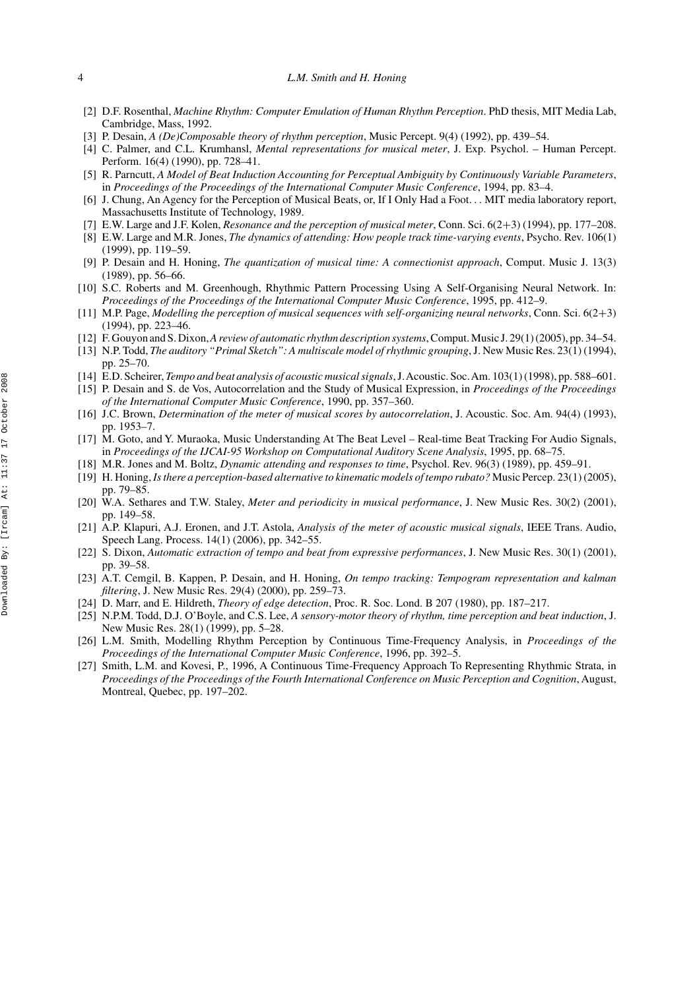- [2] D.F. Rosenthal, *Machine Rhythm: Computer Emulation of Human Rhythm Perception*. PhD thesis, MIT Media Lab, Cambridge, Mass, 1992.
- [3] P. Desain, *A (De)Composable theory of rhythm perception*, Music Percept. 9(4) (1992), pp. 439–54.
- [4] C. Palmer, and C.L. Krumhansl, *Mental representations for musical meter*, J. Exp. Psychol. Human Percept. Perform. 16(4) (1990), pp. 728–41.
- [5] R. Parncutt, *A Model of Beat Induction Accounting for Perceptual Ambiguity by Continuously Variable Parameters*, in *Proceedings of the Proceedings of the International Computer Music Conference*, 1994, pp. 83–4.
- [6] J. Chung, An Agency for the Perception of Musical Beats, or, If I Only Had a Foot*...* MIT media laboratory report, Massachusetts Institute of Technology, 1989.
- [7] E.W. Large and J.F. Kolen, *Resonance and the perception of musical meter*, Conn. Sci. 6(2+3) (1994), pp. 177–208.
- [8] E.W. Large and M.R. Jones, *The dynamics of attending: How people track time-varying events*, Psycho. Rev. 106(1) (1999), pp. 119–59.
- [9] P. Desain and H. Honing, *The quantization of musical time: A connectionist approach*, Comput. Music J. 13(3) (1989), pp. 56–66.
- [10] S.C. Roberts and M. Greenhough, Rhythmic Pattern Processing Using A Self-Organising Neural Network. In: *Proceedings of the Proceedings of the International Computer Music Conference*, 1995, pp. 412–9.
- [11] M.P. Page, *Modelling the perception of musical sequences with self-organizing neural networks*, Conn. Sci. 6(2+3) (1994), pp. 223–46.
- [12] F. Gouyon and S. Dixon,*A review of automatic rhythm description systems*, Comput. Music J. 29(1) (2005), pp. 34–54.
- [13] N.P. Todd, *The auditory "Primal Sketch": A multiscale model of rhythmic grouping*, J. New Music Res. 23(1) (1994), pp. 25–70.
- [14] E.D. Scheirer,*Tempo and beat analysis of acoustic musical signals*, J.Acoustic. Soc.Am. 103(1) (1998), pp. 588–601.
- [15] P. Desain and S. de Vos, Autocorrelation and the Study of Musical Expression, in *Proceedings of the Proceedings of the International Computer Music Conference*, 1990, pp. 357–360.
- [16] J.C. Brown, *Determination of the meter of musical scores by autocorrelation*, J. Acoustic. Soc. Am. 94(4) (1993), pp. 1953–7.
- [17] M. Goto, and Y. Muraoka, Music Understanding At The Beat Level Real-time Beat Tracking For Audio Signals, in *Proceedings of the IJCAI-95 Workshop on Computational Auditory Scene Analysis*, 1995, pp. 68–75.
- [18] M.R. Jones and M. Boltz, *Dynamic attending and responses to time*, Psychol. Rev. 96(3) (1989), pp. 459–91.
- [19] H. Honing, *Is there a perception-based alternative to kinematic models of tempo rubato?* Music Percep. 23(1) (2005), pp. 79–85.
- [20] W.A. Sethares and T.W. Staley, *Meter and periodicity in musical performance*, J. New Music Res. 30(2) (2001), pp. 149–58.
- [21] A.P. Klapuri, A.J. Eronen, and J.T. Astola, *Analysis of the meter of acoustic musical signals*, IEEE Trans. Audio, Speech Lang. Process. 14(1) (2006), pp. 342–55.
- [22] S. Dixon, *Automatic extraction of tempo and beat from expressive performances*, J. New Music Res. 30(1) (2001), pp. 39–58.
- [23] A.T. Cemgil, B. Kappen, P. Desain, and H. Honing, *On tempo tracking: Tempogram representation and kalman filtering*, J. New Music Res. 29(4) (2000), pp. 259–73.
- [24] D. Marr, and E. Hildreth, *Theory of edge detection*, Proc. R. Soc. Lond. B 207 (1980), pp. 187–217.
- [25] N.P.M. Todd, D.J. O'Boyle, and C.S. Lee, *A sensory-motor theory of rhythm, time perception and beat induction*, J. New Music Res. 28(1) (1999), pp. 5–28.
- [26] L.M. Smith, Modelling Rhythm Perception by Continuous Time-Frequency Analysis, in *Proceedings of the Proceedings of the International Computer Music Conference*, 1996, pp. 392–5.
- [27] Smith, L.M. and Kovesi, P., 1996, A Continuous Time-Frequency Approach To Representing Rhythmic Strata, in *Proceedings of the Proceedings of the Fourth International Conference on Music Perception and Cognition*, August, Montreal, Quebec, pp. 197–202.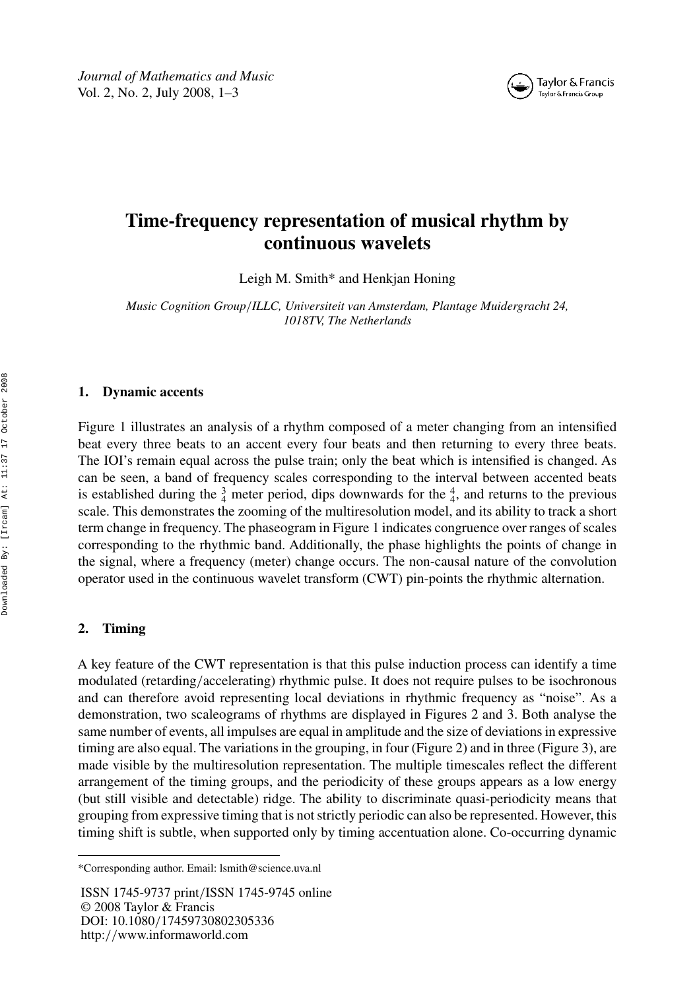

Taylor & Francis Taylor & Francis Group

## **Time-frequency representation of musical rhythm by continuous wavelets**

Leigh M. Smith\* and Henkjan Honing

*Music Cognition Group/ILLC, Universiteit van Amsterdam, Plantage Muidergracht 24, 1018TV, The Netherlands*

### **1. Dynamic accents**

Figure 1 illustrates an analysis of a rhythm composed of a meter changing from an intensified beat every three beats to an accent every four beats and then returning to every three beats. The IOI's remain equal across the pulse train; only the beat which is intensified is changed. As can be seen, a band of frequency scales corresponding to the interval between accented beats is established during the  $\frac{3}{4}$  meter period, dips downwards for the  $\frac{4}{4}$ , and returns to the previous scale. This demonstrates the zooming of the multiresolution model, and its ability to track a short term change in frequency. The phaseogram in Figure 1 indicates congruence over ranges of scales corresponding to the rhythmic band. Additionally, the phase highlights the points of change in the signal, where a frequency (meter) change occurs. The non-causal nature of the convolution operator used in the continuous wavelet transform (CWT) pin-points the rhythmic alternation.

## **2. Timing**

A key feature of the CWT representation is that this pulse induction process can identify a time modulated (retarding*/*accelerating) rhythmic pulse. It does not require pulses to be isochronous and can therefore avoid representing local deviations in rhythmic frequency as "noise". As a demonstration, two scaleograms of rhythms are displayed in Figures 2 and 3. Both analyse the same number of events, all impulses are equal in amplitude and the size of deviations in expressive timing are also equal. The variations in the grouping, in four (Figure 2) and in three (Figure 3), are made visible by the multiresolution representation. The multiple timescales reflect the different arrangement of the timing groups, and the periodicity of these groups appears as a low energy (but still visible and detectable) ridge. The ability to discriminate quasi-periodicity means that grouping from expressive timing that is not strictly periodic can also be represented. However, this timing shift is subtle, when supported only by timing accentuation alone. Co-occurring dynamic

ISSN 1745-9737 print*/*ISSN 1745-9745 online © 2008 Taylor & Francis DOI: 10.1080*/*17459730802305336 http:*//*www.informaworld.com

<sup>\*</sup>Corresponding author. Email: lsmith@science.uva.nl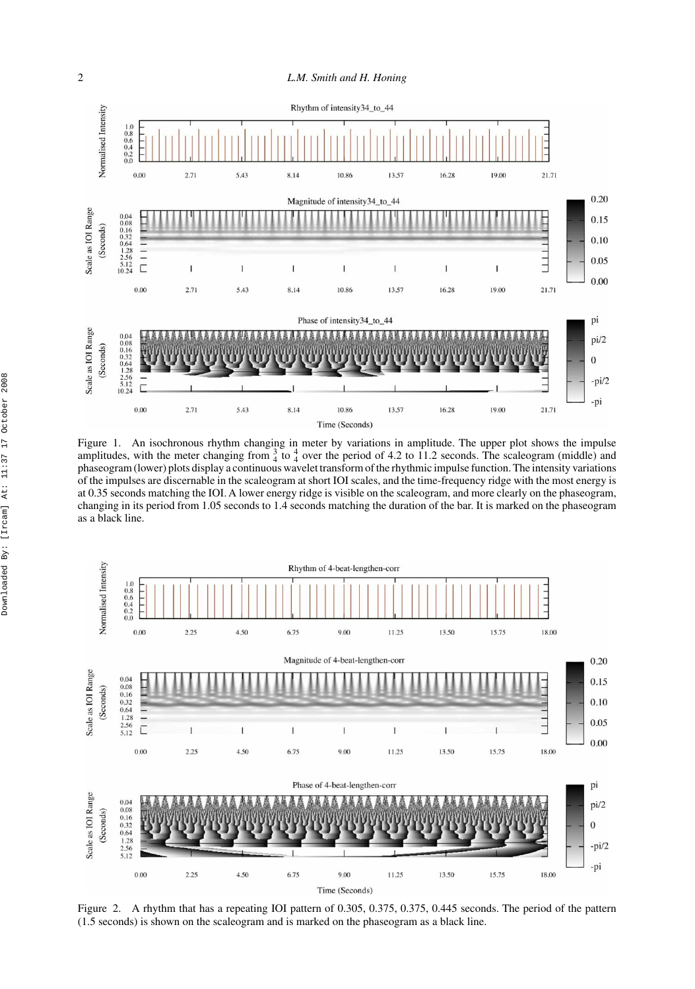#### 2 *L.M. Smith and H. Honing*



Figure 1. An isochronous rhythm changing in meter by variations in amplitude. The upper plot shows the impulse amplitudes, with the meter changing from  $\frac{3}{4}$  to  $\frac{4}{4}$  over the period of 4.2 to 11.2 seconds. The scaleogram (middle) and phaseogram (lower) plots display a continuous wavelet transform of the rhythmic impulse function. The intensity variations of the impulses are discernable in the scaleogram at short IOI scales, and the time-frequency ridge with the most energy is at 0.35 seconds matching the IOI. A lower energy ridge is visible on the scaleogram, and more clearly on the phaseogram, changing in its period from 1.05 seconds to 1.4 seconds matching the duration of the bar. It is marked on the phaseogram as a black line.



Figure 2. A rhythm that has a repeating IOI pattern of 0.305, 0.375, 0.375, 0.445 seconds. The period of the pattern (1.5 seconds) is shown on the scaleogram and is marked on the phaseogram as a black line.